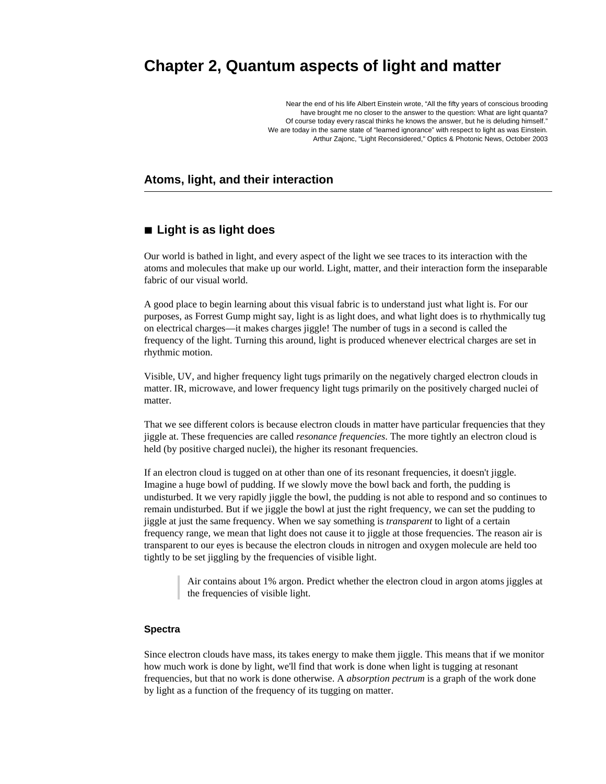# **Chapter 2, Quantum aspects of light and matter**

Near the end of his life Albert Einstein wrote, "All the fifty years of conscious brooding have brought me no closer to the answer to the question: What are light quanta? Of course today every rascal thinks he knows the answer, but he is deluding himself." We are today in the same state of "learned ignorance" with respect to light as was Einstein. Arthur Zajonc, "Light Reconsidered," Optics & Photonic News, October 2003

# **Atoms, light, and their interaction**

# **à Light is as light does**

Our world is bathed in light, and every aspect of the light we see traces to its interaction with the atoms and molecules that make up our world. Light, matter, and their interaction form the inseparable fabric of our visual world.

A good place to begin learning about this visual fabric is to understand just what light is. For our purposes, as Forrest Gump might say, light is as light does, and what light does is to rhythmically tug on electrical charges—it makes charges jiggle! The number of tugs in a second is called the frequency of the light. Turning this around, light is produced whenever electrical charges are set in rhythmic motion.

Visible, UV, and higher frequency light tugs primarily on the negatively charged electron clouds in matter. IR, microwave, and lower frequency light tugs primarily on the positively charged nuclei of matter.

That we see different colors is because electron clouds in matter have particular frequencies that they jiggle at. These frequencies are called *resonance frequencies*. The more tightly an electron cloud is held (by positive charged nuclei), the higher its resonant frequencies.

If an electron cloud is tugged on at other than one of its resonant frequencies, it doesn't jiggle. Imagine a huge bowl of pudding. If we slowly move the bowl back and forth, the pudding is undisturbed. It we very rapidly jiggle the bowl, the pudding is not able to respond and so continues to remain undisturbed. But if we jiggle the bowl at just the right frequency, we can set the pudding to jiggle at just the same frequency. When we say something is *transparent* to light of a certain frequency range, we mean that light does not cause it to jiggle at those frequencies. The reason air is transparent to our eyes is because the electron clouds in nitrogen and oxygen molecule are held too tightly to be set jiggling by the frequencies of visible light.

Air contains about 1% argon. Predict whether the electron cloud in argon atoms jiggles at the frequencies of visible light.

#### **Spectra**

Since electron clouds have mass, its takes energy to make them jiggle. This means that if we monitor how much work is done by light, we'll find that work is done when light is tugging at resonant frequencies, but that no work is done otherwise. A *absorption pectrum* is a graph of the work done by light as a function of the frequency of its tugging on matter.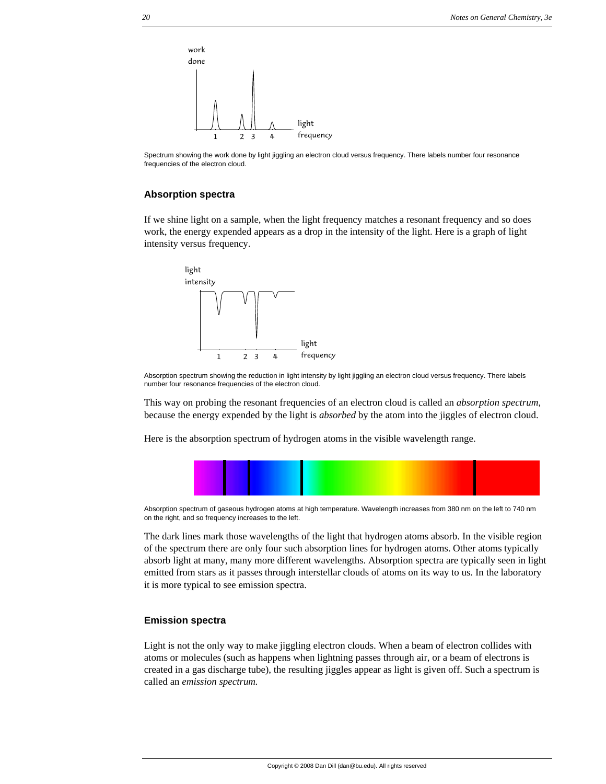

Spectrum showing the work done by light jiggling an electron cloud versus frequency. There labels number four resonance frequencies of the electron cloud.

### **Absorption spectra**

If we shine light on a sample, when the light frequency matches a resonant frequency and so does work, the energy expended appears as a drop in the intensity of the light. Here is a graph of light intensity versus frequency.



Absorption spectrum showing the reduction in light intensity by light jiggling an electron cloud versus frequency. There labels number four resonance frequencies of the electron cloud.

This way on probing the resonant frequencies of an electron cloud is called an *absorption spectrum*, because the energy expended by the light is *absorbed* by the atom into the jiggles of electron cloud.

Here is the absorption spectrum of hydrogen atoms in the visible wavelength range.



Absorption spectrum of gaseous hydrogen atoms at high temperature. Wavelength increases from 380 nm on the left to 740 nm on the right, and so frequency increases to the left.

The dark lines mark those wavelengths of the light that hydrogen atoms absorb. In the visible region of the spectrum there are only four such absorption lines for hydrogen atoms. Other atoms typically absorb light at many, many more different wavelengths. Absorption spectra are typically seen in light emitted from stars as it passes through interstellar clouds of atoms on its way to us. In the laboratory it is more typical to see emission spectra.

### **Emission spectra**

Light is not the only way to make jiggling electron clouds. When a beam of electron collides with atoms or molecules (such as happens when lightning passes through air, or a beam of electrons is created in a gas discharge tube), the resulting jiggles appear as light is given off. Such a spectrum is called an *emission spectrum.*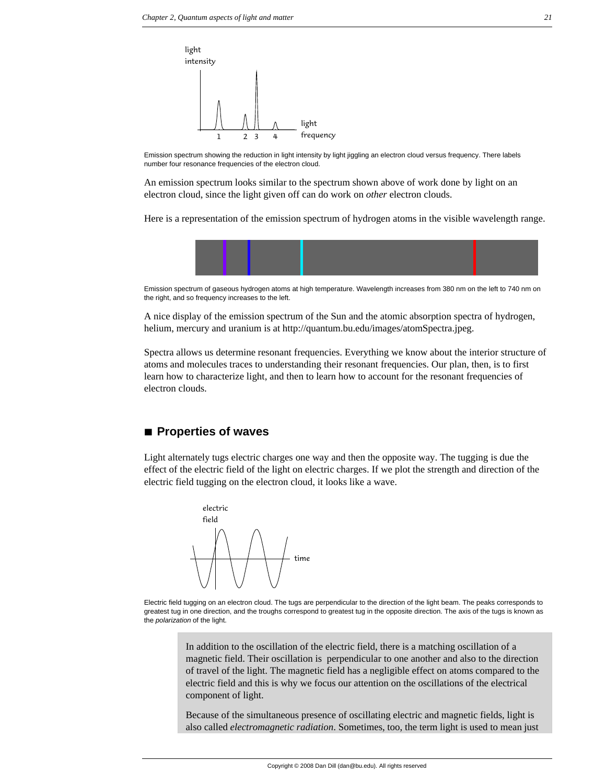

Emission spectrum showing the reduction in light intensity by light jiggling an electron cloud versus frequency. There labels number four resonance frequencies of the electron cloud.

An emission spectrum looks similar to the spectrum shown above of work done by light on an electron cloud, since the light given off can do work on *other* electron clouds.

Here is a representation of the emission spectrum of hydrogen atoms in the visible wavelength range.



Emission spectrum of gaseous hydrogen atoms at high temperature. Wavelength increases from 380 nm on the left to 740 nm on the right, and so frequency increases to the left.

A nice display of the emission spectrum of the Sun and the atomic absorption spectra of hydrogen, helium, mercury and uranium is at http://quantum.bu.edu/images/atomSpectra.jpeg.

Spectra allows us determine resonant frequencies. Everything we know about the interior structure of atoms and molecules traces to understanding their resonant frequencies. Our plan, then, is to first learn how to characterize light, and then to learn how to account for the resonant frequencies of electron clouds.

# ■ **Properties of waves**

Light alternately tugs electric charges one way and then the opposite way. The tugging is due the effect of the electric field of the light on electric charges. If we plot the strength and direction of the electric field tugging on the electron cloud, it looks like a wave.



Electric field tugging on an electron cloud. The tugs are perpendicular to the direction of the light beam. The peaks corresponds to greatest tug in one direction, and the troughs correspond to greatest tug in the opposite direction. The axis of the tugs is known as the *polarization* of the light.

> In addition to the oscillation of the electric field, there is a matching oscillation of a magnetic field. Their oscillation is perpendicular to one another and also to the direction of travel of the light. The magnetic field has a negligible effect on atoms compared to the electric field and this is why we focus our attention on the oscillations of the electrical component of light.

> Because of the simultaneous presence of oscillating electric and magnetic fields, light is also called *electromagnetic radiation*. Sometimes, too, the term light is used to mean just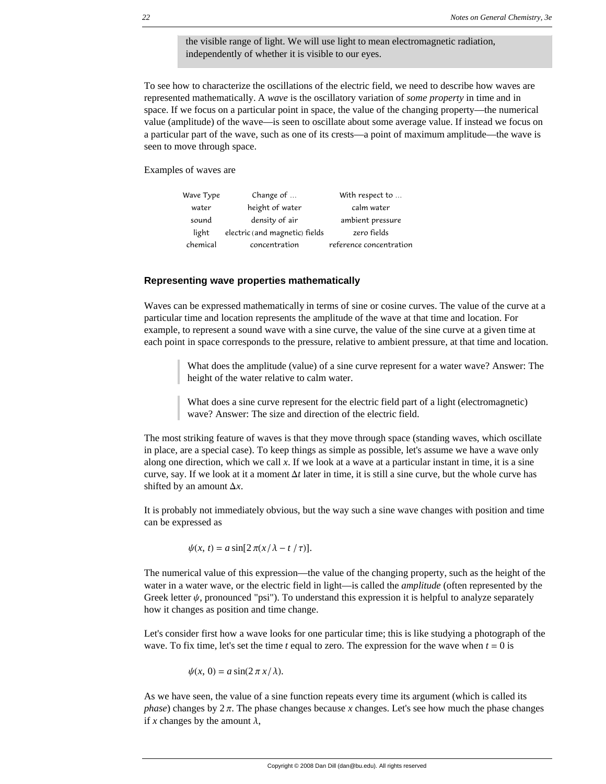the visible range of light. We will use light to mean electromagnetic radiation, independently of whether it is visible to our eyes.

To see how to characterize the oscillations of the electric field, we need to describe how waves are represented mathematically. A *wave* is the oscillatory variation of *some property* in time and in space. If we focus on a particular point in space, the value of the changing property—the numerical value (amplitude) of the wave—is seen to oscillate about some average value. If instead we focus on a particular part of the wave, such as one of its crests—a point of maximum amplitude—the wave is seen to move through space.

Examples of waves are

| Change of                      | With respect to         |
|--------------------------------|-------------------------|
| height of water                | calm water              |
| density of air                 | ambient pressure        |
| electric (and magnetic) fields | zero fields             |
| concentration                  | reference concentration |
|                                |                         |

#### **Representing wave properties mathematically**

Waves can be expressed mathematically in terms of sine or cosine curves. The value of the curve at a particular time and location represents the amplitude of the wave at that time and location. For example, to represent a sound wave with a sine curve, the value of the sine curve at a given time at each point in space corresponds to the pressure, relative to ambient pressure, at that time and location.

> What does the amplitude (value) of a sine curve represent for a water wave? Answer: The height of the water relative to calm water.

What does a sine curve represent for the electric field part of a light (electromagnetic) wave? Answer: The size and direction of the electric field.

The most striking feature of waves is that they move through space (standing waves, which oscillate in place, are a special case). To keep things as simple as possible, let's assume we have a wave only along one direction, which we call *x*. If we look at a wave at a particular instant in time, it is a sine curve, say. If we look at it a moment  $\Delta t$  later in time, it is still a sine curve, but the whole curve has shifted by an amount  $\Delta x$ .

It is probably not immediately obvious, but the way such a sine wave changes with position and time can be expressed as

 $\psi(x, t) = a \sin[2\pi(x/\lambda - t/\tau)].$ 

The numerical value of this expression—the value of the changing property, such as the height of the water in a water wave, or the electric field in light—is called the *amplitude* (often represented by the Greek letter  $\psi$ , pronounced "psi"). To understand this expression it is helpful to analyze separately how it changes as position and time change.

Let's consider first how a wave looks for one particular time; this is like studying a photograph of the wave. To fix time, let's set the time  $t$  equal to zero. The expression for the wave when  $t = 0$  is

$$
\psi(x, 0) = a \sin(2\pi x/\lambda).
$$

As we have seen, the value of a sine function repeats every time its argument (which is called its *phase*) changes by  $2\pi$ . The phase changes because *x* changes. Let's see how much the phase changes if x changes by the amount  $\lambda$ ,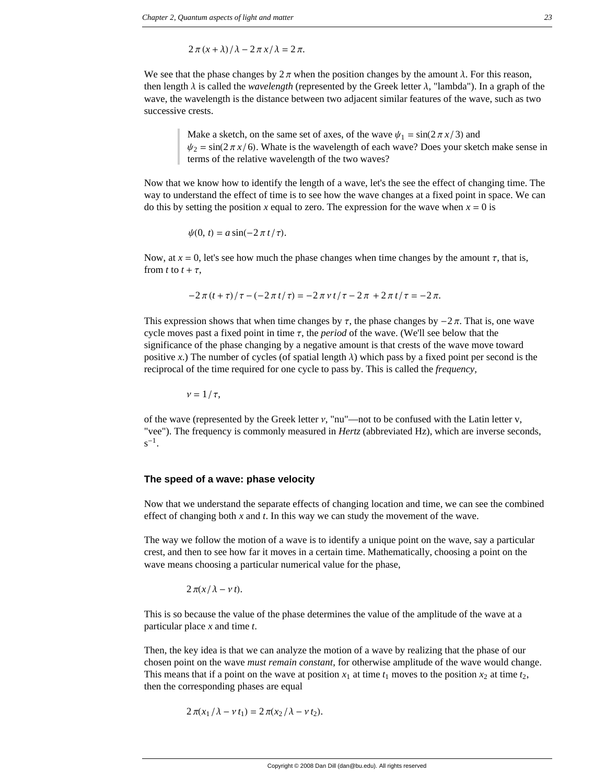$$
2\pi (x + \lambda)/\lambda - 2\pi x/\lambda = 2\pi.
$$

We see that the phase changes by  $2\pi$  when the position changes by the amount  $\lambda$ . For this reason, then length  $\lambda$  is called the *wavelength* (represented by the Greek letter  $\lambda$ , "lambda"). In a graph of the wave, the wavelength is the distance between two adjacent similar features of the wave, such as two successive crests.

> Make a sketch, on the same set of axes, of the wave  $\psi_1 = \sin(2 \pi x / 3)$  and  $\psi_2 = \sin(2\pi x/6)$ . Whate is the wavelength of each wave? Does your sketch make sense in terms of the relative wavelength of the two waves?

Now that we know how to identify the length of a wave, let's the see the effect of changing time. The way to understand the effect of time is to see how the wave changes at a fixed point in space. We can do this by setting the position *x* equal to zero. The expression for the wave when  $x = 0$  is

$$
\psi(0, t) = a \sin(-2 \pi t/\tau).
$$

Now, at  $x = 0$ , let's see how much the phase changes when time changes by the amount  $\tau$ , that is, from *t* to  $t + \tau$ ,

$$
-2\pi (t+\tau)/\tau - (-2\pi t/\tau) = -2\pi \nu t/\tau - 2\pi + 2\pi t/\tau = -2\pi.
$$

This expression shows that when time changes by  $\tau$ , the phase changes by  $-2\pi$ . That is, one wave cycle moves past a fixed point in time  $\tau$ , the *period* of the wave. (We'll see below that the significance of the phase changing by a negative amount is that crests of the wave move toward positive *x*.) The number of cycles (of spatial length  $\lambda$ ) which pass by a fixed point per second is the reciprocal of the time required for one cycle to pass by. This is called the *frequency,*

$$
\nu=1/\tau,
$$

of the wave (represented by the Greek letter  $v$ , "nu"—not to be confused with the Latin letter  $v$ , "vee"). The frequency is commonly measured in *Hertz* (abbreviated Hz), which are inverse seconds,  $s^{-1}$ .

#### **The speed of a wave: phase velocity**

Now that we understand the separate effects of changing location and time, we can see the combined effect of changing both *x* and *t*. In this way we can study the movement of the wave.

The way we follow the motion of a wave is to identify a unique point on the wave, say a particular crest, and then to see how far it moves in a certain time. Mathematically, choosing a point on the wave means choosing a particular numerical value for the phase,

$$
2\pi(x/\lambda-\nu t).
$$

This is so because the value of the phase determines the value of the amplitude of the wave at a particular place *x* and time *t*.

Then, the key idea is that we can analyze the motion of a wave by realizing that the phase of our chosen point on the wave *must remain constant*, for otherwise amplitude of the wave would change. This means that if a point on the wave at position  $x_1$  at time  $t_1$  moves to the position  $x_2$  at time  $t_2$ , then the corresponding phases are equal

$$
2\pi(x_1/\lambda - \nu t_1) = 2\pi(x_2/\lambda - \nu t_2).
$$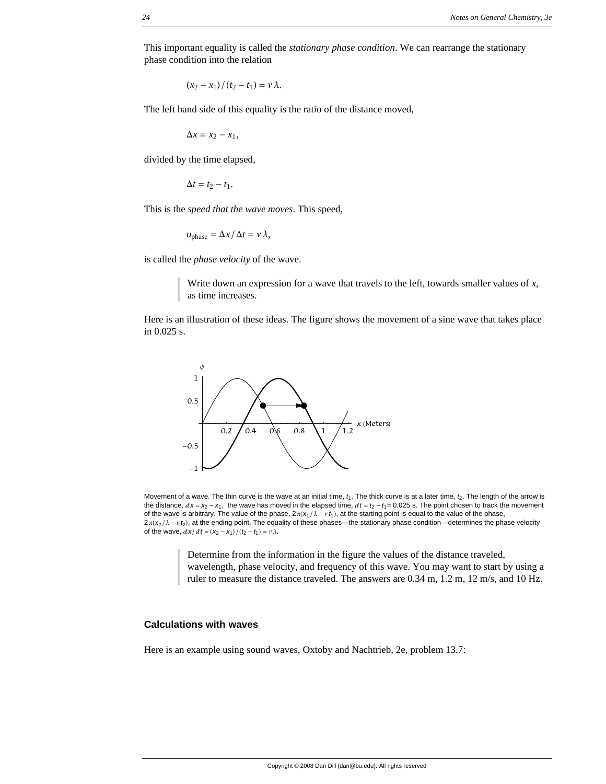This important equality is called the *stationary phase condition*. We can rearrange the stationary phase condition into the relation

$$
(x_2-x_1)/(t_2-t_1)=\nu\lambda.
$$

The left hand side of this equality is the ratio of the distance moved,

 $\Delta x = x_2 - x_1$ ,

divided by the time elapsed,

$$
\Delta t = t_2 - t_1.
$$

This is the *speed that the wave moves*. This speed,

$$
u_{\text{phase}} = \Delta x / \Delta t = v \lambda,
$$

is called the *phase velocity* of the wave.

Write down an expression for a wave that travels to the left, towards smaller values of *x*, as time increases.

Here is an illustration of these ideas. The figure shows the movement of a sine wave that takes place in 0.025 s.



Movement of a wave. The thin curve is the wave at an initial time,  $t_1$ . The thick curve is at a later time,  $t_2$ . The length of the arrow is the distance,  $dx = x_2 - x_1$ , the wave has moved in the elapsed time,  $dt = t_2 - t_1 = 0.025$  s. The point chosen to track the movement of the wave is arbitrary. The value of the phase,  $2\pi(x_1/\lambda - y_1)$ , at the starting point is equal to the value of the phase,  $2\pi$ ( $x_2$ / $\lambda$  -  $\nu$   $t_2$ ), at the ending point. The equality of these phases—the stationary phase condition—determines the phase velocity of the wave,  $\frac{dx}{dt} = \frac{x_2 - x_1}{t_2 - t_1} = v \lambda$ .

Determine from the information in the figure the values of the distance traveled, wavelength, phase velocity, and frequency of this wave. You may want to start by using a ruler to measure the distance traveled. The answers are 0.34 m, 1.2 m, 12 m/s, and 10 Hz.

#### **Calculations with waves**

Here is an example using sound waves, Oxtoby and Nachtrieb, 2e, problem 13.7: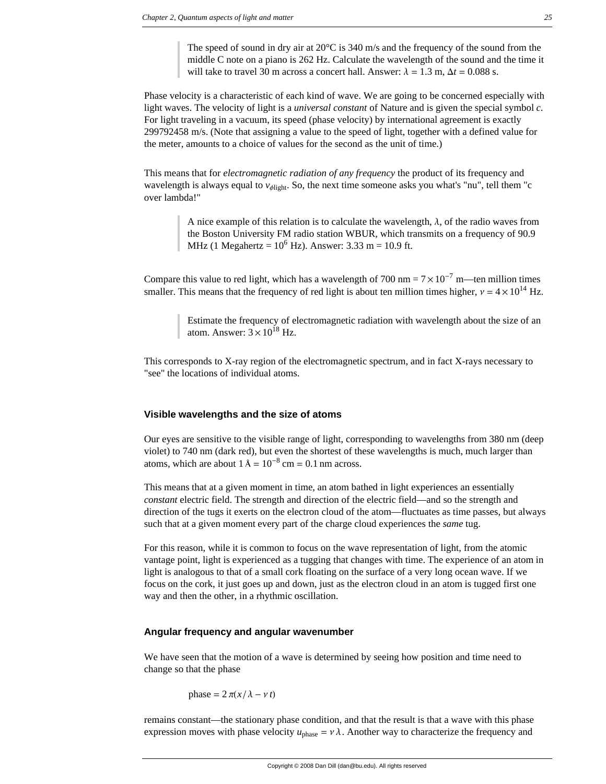The speed of sound in dry air at  $20^{\circ}$ C is 340 m/s and the frequency of the sound from the middle C note on a piano is 262 Hz. Calculate the wavelength of the sound and the time it will take to travel 30 m across a concert hall. Answer:  $\lambda = 1.3$  m,  $\Delta t = 0.088$  s.

Phase velocity is a characteristic of each kind of wave. We are going to be concerned especially with light waves. The velocity of light is a *universal constant* of Nature and is given the special symbol *c*. For light traveling in a vacuum, its speed (phase velocity) by international agreement is exactly 299792458 m/s. (Note that assigning a value to the speed of light, together with a defined value for the meter, amounts to a choice of values for the second as the unit of time.)

This means that for *electromagnetic radiation of any frequency* the product of its frequency and wavelength is always equal to  $v_{\text{dight}}$ . So, the next time someone asks you what's "nu", tell them "c over lambda!"

> A nice example of this relation is to calculate the wavelength,  $\lambda$ , of the radio waves from the Boston University FM radio station WBUR, which transmits on a frequency of 90.9 MHz (1 Megahertz =  $10^6$  Hz). Answer: 3.33 m = 10.9 ft.

Compare this value to red light, which has a wavelength of 700 nm =  $7 \times 10^{-7}$  m—ten million times smaller. This means that the frequency of red light is about ten million times higher,  $v = 4 \times 10^{14}$  Hz.

> Estimate the frequency of electromagnetic radiation with wavelength about the size of an atom. Answer:  $3 \times 10^{18}$  Hz.

This corresponds to X-ray region of the electromagnetic spectrum, and in fact X-rays necessary to "see" the locations of individual atoms.

#### **Visible wavelengths and the size of atoms**

Our eyes are sensitive to the visible range of light, corresponding to wavelengths from 380 nm (deep violet) to 740 nm (dark red), but even the shortest of these wavelengths is much, much larger than atoms, which are about  $1 \text{ Å} = 10^{-8} \text{ cm} = 0.1 \text{ nm}$  across.

This means that at a given moment in time, an atom bathed in light experiences an essentially *constant* electric field. The strength and direction of the electric field—and so the strength and direction of the tugs it exerts on the electron cloud of the atom—fluctuates as time passes, but always such that at a given moment every part of the charge cloud experiences the *same* tug.

For this reason, while it is common to focus on the wave representation of light, from the atomic vantage point, light is experienced as a tugging that changes with time. The experience of an atom in light is analogous to that of a small cork floating on the surface of a very long ocean wave. If we focus on the cork, it just goes up and down, just as the electron cloud in an atom is tugged first one way and then the other, in a rhythmic oscillation.

### **Angular frequency and angular wavenumber**

We have seen that the motion of a wave is determined by seeing how position and time need to change so that the phase

phase  $= 2 \pi (x/\lambda - v t)$ 

remains constant—the stationary phase condition, and that the result is that a wave with this phase expression moves with phase velocity  $u_{\text{phase}} = v \lambda$ . Another way to characterize the frequency and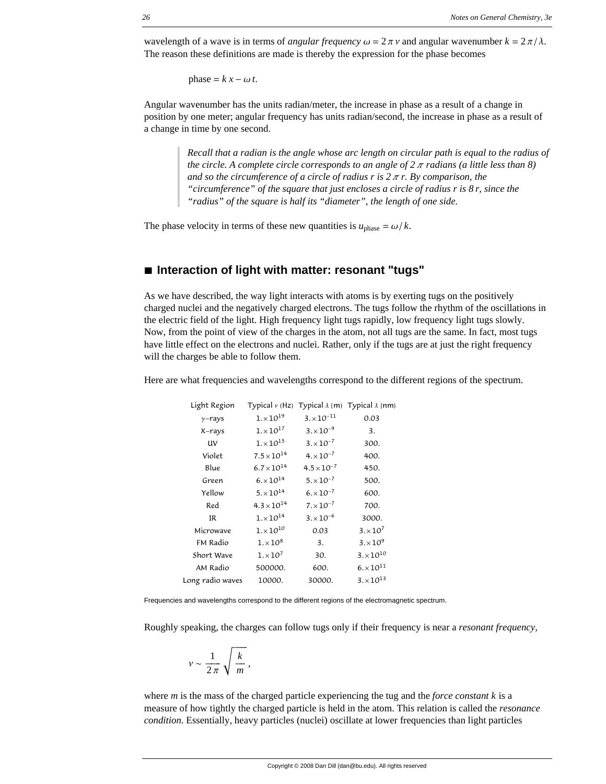wavelength of a wave is in terms of *angular frequency*  $\omega = 2\pi \gamma$  and angular wavenumber  $k = 2\pi/\lambda$ . The reason these definitions are made is thereby the expression for the phase becomes

phase =  $k x - \omega t$ .

Angular wavenumber has the units radian/meter, the increase in phase as a result of a change in position by one meter; angular frequency has units radian/second, the increase in phase as a result of a change in time by one second.

> *Recall that a radian is the angle whose arc length on circular path is equal to the radius of the circle. A complete circle corresponds to an angle of*  $2 \pi$  *radians (a little less than 8) and so the circumference of a circle of radius r is*  $2 \pi r$ *. By comparison, the "circumference" of the square that just encloses a circle of radius r is 8 r, since the "radius" of the square is half its "diameter", the length of one side.*

The phase velocity in terms of these new quantities is  $u_{\text{phase}} = \omega/k$ .

# **à Interaction of light with matter: resonant "tugs"**

As we have described, the way light interacts with atoms is by exerting tugs on the positively charged nuclei and the negatively charged electrons. The tugs follow the rhythm of the oscillations in the electric field of the light. High frequency light tugs rapidly, low frequency light tugs slowly. Now, from the point of view of the charges in the atom, not all tugs are the same. In fact, most tugs have little effect on the electrons and nuclei. Rather, only if the tugs are at just the right frequency will the charges be able to follow them.

Here are what frequencies and wavelengths correspond to the different regions of the spectrum.

| Light Region     |                      |                      | Typical v (Hz) Typical $\lambda$ {m) Typical $\lambda$ {nm) |
|------------------|----------------------|----------------------|-------------------------------------------------------------|
| $\gamma$ -rays   | $1 \times 10^{19}$   | $3 \times 10^{-11}$  | 0.03                                                        |
| X-rays           | $1 \times 10^{17}$   | $3. \times 10^{-9}$  | 3.                                                          |
| UV               | $1 \times 10^{15}$   | $3. \times 10^{-7}$  | 300.                                                        |
| Violet           | $7.5 \times 10^{14}$ | $4 \times 10^{-7}$   | 400.                                                        |
| Blue             | $6.7 \times 10^{14}$ | $4.5 \times 10^{-7}$ | 450.                                                        |
| Green            | $6. \times 10^{14}$  | $5. \times 10^{-7}$  | 500.                                                        |
| Yellow           | $5. \times 10^{14}$  | $6. \times 10^{-7}$  | 600.                                                        |
| Red              | $4.3 \times 10^{14}$ | $7 \times 10^{-7}$   | 700.                                                        |
| IR               | $1 \times 10^{14}$   | $3. \times 10^{-6}$  | 3000.                                                       |
| Microwave        | $1 \times 10^{10}$   | 0.03                 | $3. \times 10^{7}$                                          |
| FM Radio         | $1 \times 10^8$      | 3.                   | $3. \times 10^9$                                            |
| Short Wave       | $1 \times 10^7$      | 30.                  | $3. \times 10^{10}$                                         |
| AM Radio         | 500000.              | 600.                 | $6. \times 10^{11}$                                         |
| Long radio waves | 10000.               | 30000.               | $3 \times 10^{13}$                                          |

Frequencies and wavelengths correspond to the different regions of the electromagnetic spectrum.

Roughly speaking, the charges can follow tugs only if their frequency is near a *resonant frequency,*

$$
v \sim \frac{1}{2\pi} \sqrt{\frac{k}{m}},
$$

where *m* is the mass of the charged particle experiencing the tug and the *force constant k* is a measure of how tightly the charged particle is held in the atom. This relation is called the *resonance condition*. Essentially, heavy particles (nuclei) oscillate at lower frequencies than light particles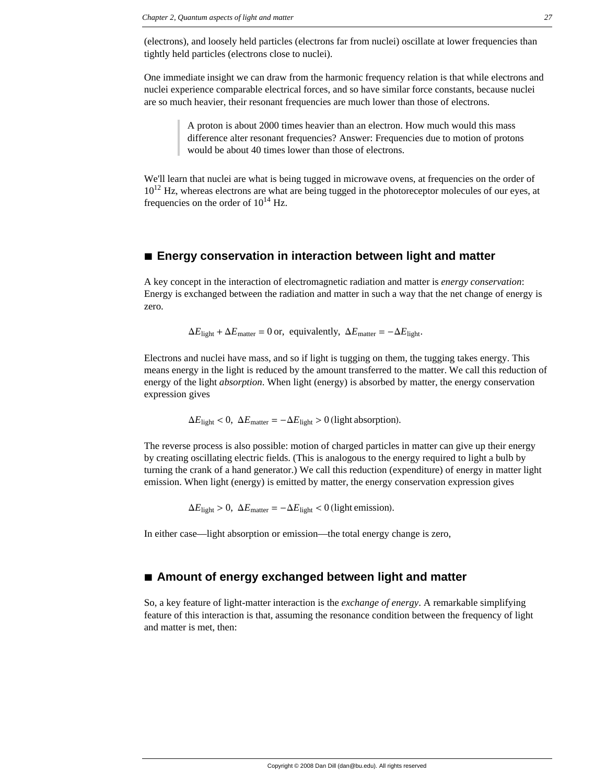(electrons), and loosely held particles (electrons far from nuclei) oscillate at lower frequencies than tightly held particles (electrons close to nuclei).

One immediate insight we can draw from the harmonic frequency relation is that while electrons and nuclei experience comparable electrical forces, and so have similar force constants, because nuclei are so much heavier, their resonant frequencies are much lower than those of electrons.

> A proton is about 2000 times heavier than an electron. How much would this mass difference alter resonant frequencies? Answer: Frequencies due to motion of protons would be about 40 times lower than those of electrons.

We'll learn that nuclei are what is being tugged in microwave ovens, at frequencies on the order of  $10^{12}$  Hz, whereas electrons are what are being tugged in the photoreceptor molecules of our eyes, at frequencies on the order of  $10^{14}$  Hz.

### **à Energy conservation in interaction between light and matter**

A key concept in the interaction of electromagnetic radiation and matter is *energy conservation*: Energy is exchanged between the radiation and matter in such a way that the net change of energy is zero.

$$
\Delta E_{\text{light}} + \Delta E_{\text{matter}} = 0 \text{ or, equivalently, } \Delta E_{\text{matter}} = -\Delta E_{\text{light}}.
$$

Electrons and nuclei have mass, and so if light is tugging on them, the tugging takes energy. This means energy in the light is reduced by the amount transferred to the matter. We call this reduction of energy of the light *absorption*. When light (energy) is absorbed by matter, the energy conservation expression gives

 $\Delta E_{\text{light}} < 0$ ,  $\Delta E_{\text{matter}} = -\Delta E_{\text{light}} > 0$  (light absorption).

The reverse process is also possible: motion of charged particles in matter can give up their energy by creating oscillating electric fields. (This is analogous to the energy required to light a bulb by turning the crank of a hand generator.) We call this reduction (expenditure) of energy in matter light emission. When light (energy) is emitted by matter, the energy conservation expression gives

 $\Delta E_{\text{light}} > 0$ ,  $\Delta E_{\text{matter}} = -\Delta E_{\text{light}} < 0$  (light emission).

In either case—light absorption or emission—the total energy change is zero,

## **à Amount of energy exchanged between light and matter**

So, a key feature of light-matter interaction is the *exchange of energy*. A remarkable simplifying feature of this interaction is that, assuming the resonance condition between the frequency of light and matter is met, then: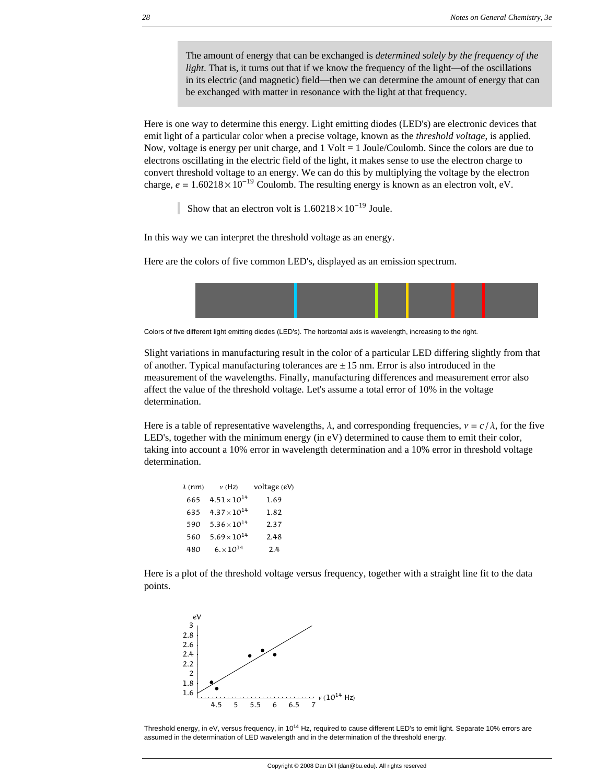The amount of energy that can be exchanged is *determined solely by the frequency of the light*. That is, it turns out that if we know the frequency of the light—of the oscillations in its electric (and magnetic) field—then we can determine the amount of energy that can be exchanged with matter in resonance with the light at that frequency.

Here is one way to determine this energy. Light emitting diodes (LED's) are electronic devices that emit light of a particular color when a precise voltage, known as the *threshold voltage*, is applied. Now, voltage is energy per unit charge, and  $1$  Volt  $= 1$  Joule/Coulomb. Since the colors are due to electrons oscillating in the electric field of the light, it makes sense to use the electron charge to convert threshold voltage to an energy. We can do this by multiplying the voltage by the electron charge,  $e = 1.60218 \times 10^{-19}$  Coulomb. The resulting energy is known as an electron volt, eV.

Show that an electron volt is  $1.60218 \times 10^{-19}$  Joule.

In this way we can interpret the threshold voltage as an energy.

Here are the colors of five common LED's, displayed as an emission spectrum.



Colors of five different light emitting diodes (LED's). The horizontal axis is wavelength, increasing to the right.

Slight variations in manufacturing result in the color of a particular LED differing slightly from that of another. Typical manufacturing tolerances are  $\pm 15$  nm. Error is also introduced in the measurement of the wavelengths. Finally, manufacturing differences and measurement error also affect the value of the threshold voltage. Let's assume a total error of 10% in the voltage determination.

Here is a table of representative wavelengths,  $\lambda$ , and corresponding frequencies,  $v = c/\lambda$ , for the five LED's, together with the minimum energy (in eV) determined to cause them to emit their color, taking into account a 10% error in wavelength determination and a 10% error in threshold voltage determination.

| $\lambda$ (nm) | $\nu$ (Hz)            | voltage (eV) |
|----------------|-----------------------|--------------|
| 665            | $4.51 \times 10^{14}$ | 1.69         |
| 635            | $4.37 \times 10^{14}$ | 1.82         |
| 590            | $5.36 \times 10^{14}$ | 2.37         |
| 560            | $5.69\times10^{14}$   | 2.48         |
| 480            | $6. \times 10^{14}$   | 2.4          |

Here is a plot of the threshold voltage versus frequency, together with a straight line fit to the data points.



Threshold energy, in eV, versus frequency, in 10<sup>14</sup> Hz, required to cause different LED's to emit light. Separate 10% errors are assumed in the determination of LED wavelength and in the determination of the threshold energy.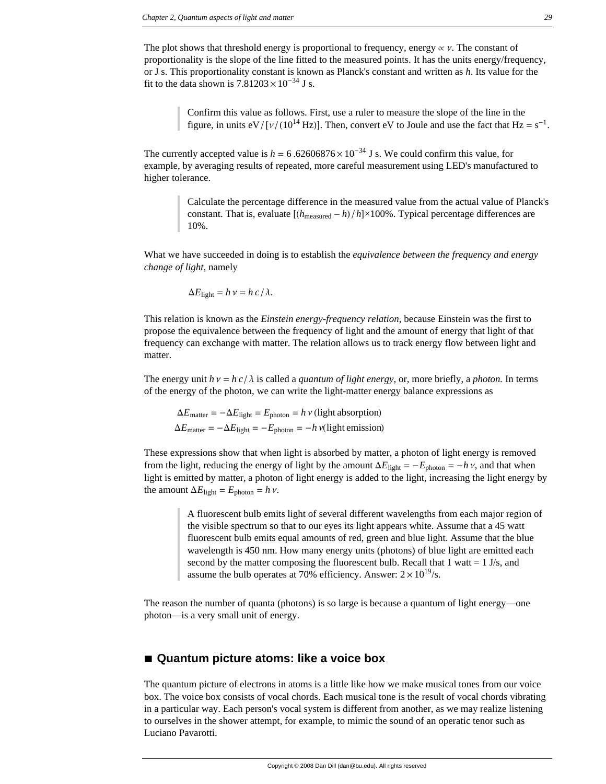The plot shows that threshold energy is proportional to frequency, energy  $\alpha$   $\gamma$ . The constant of proportionality is the slope of the line fitted to the measured points. It has the units energy/frequency, or J s. This proportionality constant is known as Planck's constant and written as *h*. Its value for the fit to the data shown is  $7.81203 \times 10^{-34}$  J s.

> Confirm this value as follows. First, use a ruler to measure the slope of the line in the figure, in units eV/[ $v/(10^{14}$  Hz)]. Then, convert eV to Joule and use the fact that Hz = s<sup>-1</sup>.

The currently accepted value is  $h = 6.62606876 \times 10^{-34}$  J s. We could confirm this value, for example, by averaging results of repeated, more careful measurement using LED's manufactured to higher tolerance.

> Calculate the percentage difference in the measured value from the actual value of Planck's constant. That is, evaluate  $[(h_{\text{measured}} - h)/h] \times 100\%$ . Typical percentage differences are 10%.

What we have succeeded in doing is to establish the *equivalence between the frequency and energy change of light*, namely

$$
\Delta E_{\text{light}} = h \, \nu = h \, c / \lambda.
$$

This relation is known as the *Einstein energy-frequency relation*, because Einstein was the first to propose the equivalence between the frequency of light and the amount of energy that light of that frequency can exchange with matter. The relation allows us to track energy flow between light and matter.

The energy unit  $h v = h c / \lambda$  is called a *quantum of light energy,* or, more briefly, a *photon*. In terms of the energy of the photon, we can write the light-matter energy balance expressions as

 $\Delta E_{\text{matter}} = -\Delta E_{\text{light}} = E_{\text{photon}} = h v$  (light absorption)  $\Delta E_{\text{matter}} = -\Delta E_{\text{light}} = -E_{\text{photon}} = -h \nu(\text{light emission})$ 

These expressions show that when light is absorbed by matter, a photon of light energy is removed from the light, reducing the energy of light by the amount  $\Delta E_{\text{light}} = -E_{\text{photon}} = -h v$ , and that when light is emitted by matter, a photon of light energy is added to the light, increasing the light energy by the amount  $\Delta E_{\text{light}} = E_{\text{photon}} = h v$ .

> A fluorescent bulb emits light of several different wavelengths from each major region of the visible spectrum so that to our eyes its light appears white. Assume that a 45 watt fluorescent bulb emits equal amounts of red, green and blue light. Assume that the blue wavelength is 450 nm. How many energy units (photons) of blue light are emitted each second by the matter composing the fluorescent bulb. Recall that 1 watt  $= 1$  J/s, and assume the bulb operates at 70% efficiency. Answer:  $2 \times 10^{19}$ /s.

The reason the number of quanta (photons) is so large is because a quantum of light energy—one photon—is a very small unit of energy.

# ■ Quantum picture atoms: like a voice box

The quantum picture of electrons in atoms is a little like how we make musical tones from our voice box. The voice box consists of vocal chords. Each musical tone is the result of vocal chords vibrating in a particular way. Each person's vocal system is different from another, as we may realize listening to ourselves in the shower attempt, for example, to mimic the sound of an operatic tenor such as Luciano Pavarotti.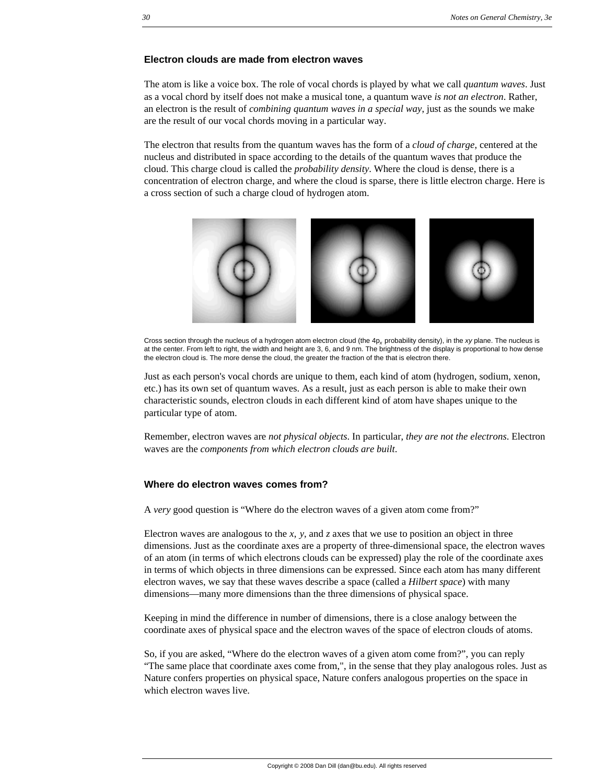### **Electron clouds are made from electron waves**

The atom is like a voice box. The role of vocal chords is played by what we call *quantum waves*. Just as a vocal chord by itself does not make a musical tone, a quantum wave *is not an electron*. Rather, an electron is the result of *combining quantum waves in a special way*, just as the sounds we make are the result of our vocal chords moving in a particular way.

The electron that results from the quantum waves has the form of a *cloud of charge*, centered at the nucleus and distributed in space according to the details of the quantum waves that produce the cloud. This charge cloud is called the *probability density*. Where the cloud is dense, there is a concentration of electron charge, and where the cloud is sparse, there is little electron charge. Here is a cross section of such a charge cloud of hydrogen atom.



Cross section through the nucleus of a hydrogen atom electron cloud (the 4p*x* probability density), in the *xy* plane. The nucleus is at the center. From left to right, the width and height are 3, 6, and 9 nm. The brightness of the display is proportional to how dense the electron cloud is. The more dense the cloud, the greater the fraction of the that is electron there.

Just as each person's vocal chords are unique to them, each kind of atom (hydrogen, sodium, xenon, etc.) has its own set of quantum waves. As a result, just as each person is able to make their own characteristic sounds, electron clouds in each different kind of atom have shapes unique to the particular type of atom.

Remember, electron waves are *not physical objects*. In particular, *they are not the electrons*. Electron waves are the *components from which electron clouds are built*.

### **Where do electron waves comes from?**

A *very* good question is "Where do the electron waves of a given atom come from?"

Electron waves are analogous to the *x*, *y*, and *z* axes that we use to position an object in three dimensions. Just as the coordinate axes are a property of three-dimensional space, the electron waves of an atom (in terms of which electrons clouds can be expressed) play the role of the coordinate axes in terms of which objects in three dimensions can be expressed. Since each atom has many different electron waves, we say that these waves describe a space (called a *Hilbert space*) with many dimensions—many more dimensions than the three dimensions of physical space.

Keeping in mind the difference in number of dimensions, there is a close analogy between the coordinate axes of physical space and the electron waves of the space of electron clouds of atoms.

So, if you are asked, "Where do the electron waves of a given atom come from?", you can reply "The same place that coordinate axes come from,", in the sense that they play analogous roles. Just as Nature confers properties on physical space, Nature confers analogous properties on the space in which electron waves live.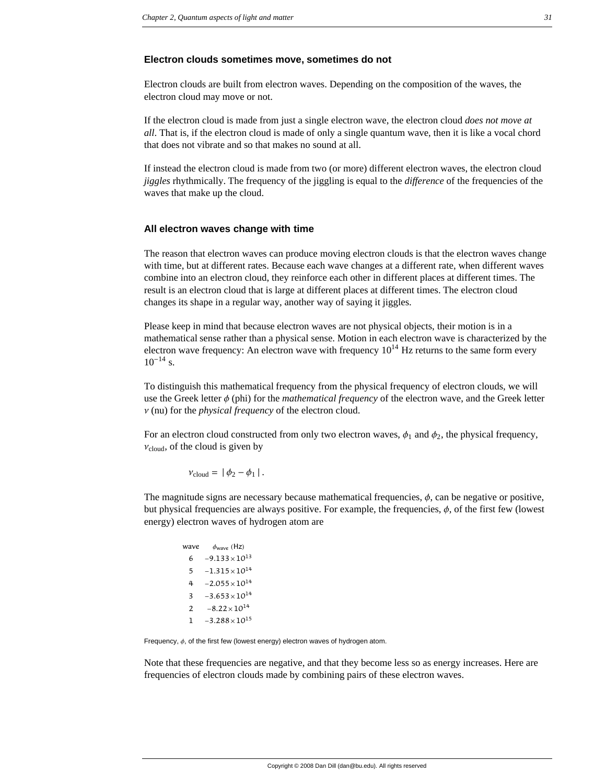#### **Electron clouds sometimes move, sometimes do not**

Electron clouds are built from electron waves. Depending on the composition of the waves, the electron cloud may move or not.

If the electron cloud is made from just a single electron wave, the electron cloud *does not move at all*. That is, if the electron cloud is made of only a single quantum wave, then it is like a vocal chord that does not vibrate and so that makes no sound at all.

If instead the electron cloud is made from two (or more) different electron waves, the electron cloud *jiggles* rhythmically. The frequency of the jiggling is equal to the *difference* of the frequencies of the waves that make up the cloud.

#### **All electron waves change with time**

The reason that electron waves can produce moving electron clouds is that the electron waves change with time, but at different rates. Because each wave changes at a different rate, when different waves combine into an electron cloud, they reinforce each other in different places at different times. The result is an electron cloud that is large at different places at different times. The electron cloud changes its shape in a regular way, another way of saying it jiggles.

Please keep in mind that because electron waves are not physical objects, their motion is in a mathematical sense rather than a physical sense. Motion in each electron wave is characterized by the electron wave frequency: An electron wave with frequency  $10^{14}$  Hz returns to the same form every  $10^{-14}$  s.

To distinguish this mathematical frequency from the physical frequency of electron clouds, we will use the Greek letter  $\phi$  (phi) for the *mathematical frequency* of the electron wave, and the Greek letter  $\nu$  (nu) for the *physical frequency* of the electron cloud.

For an electron cloud constructed from only two electron waves,  $\phi_1$  and  $\phi_2$ , the physical frequency,  $v_{\text{cloud}}$ , of the cloud is given by

$$
v_{\rm cloud} = |\phi_2 - \phi_1|.
$$

The magnitude signs are necessary because mathematical frequencies,  $\phi$ , can be negative or positive, but physical frequencies are always positive. For example, the frequencies,  $\phi$ , of the first few (lowest energy) electron waves of hydrogen atom are

| wave | $\phi_{\text{wave}}$ (Hz) |
|------|---------------------------|
| 6    | $-9.133\times10^{13}$     |
| 5    | $-1.315\times10^{14}$     |
| 4    | $-2.055\times10^{14}$     |
| 3    | $-3.653\times10^{14}$     |
| 2    | $-8.22 \times 10^{14}$    |
| ı    | $-3.288\times10^{15}$     |

Frequency,  $\phi$ , of the first few (lowest energy) electron waves of hydrogen atom.

Note that these frequencies are negative, and that they become less so as energy increases. Here are frequencies of electron clouds made by combining pairs of these electron waves.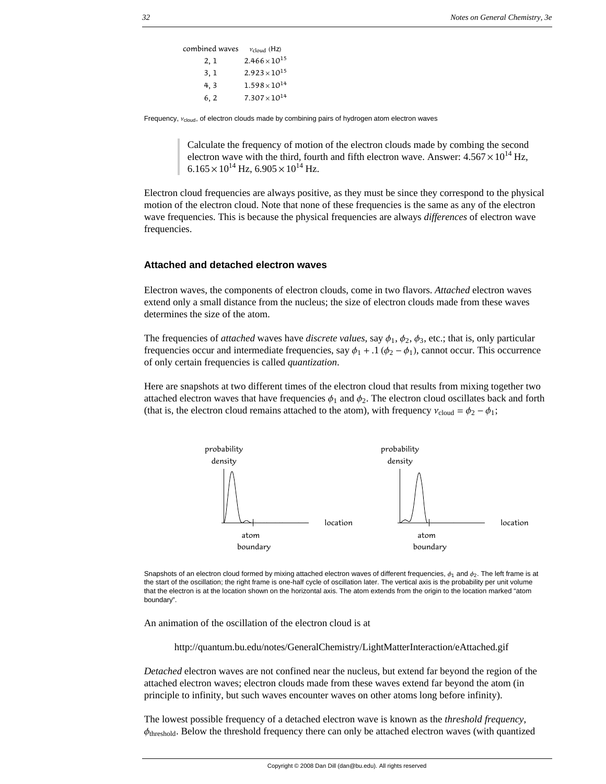combined waves  $v_{cloud}$  (Hz) 2, 1  $2.466 \times 10^{15}$ 3, 1  $2.923 \times 10^{15}$ 4, 3  $1.598 \times 10^{14}$ 6, 2  $7.307 \times 10^{14}$ 

Frequency,  $v_{\text{cloud}}$ , of electron clouds made by combining pairs of hydrogen atom electron waves

Calculate the frequency of motion of the electron clouds made by combing the second electron wave with the third, fourth and fifth electron wave. Answer:  $4.567 \times 10^{14}$  Hz,  $6.165 \times 10^{14}$  Hz,  $6.905 \times 10^{14}$  Hz.

Electron cloud frequencies are always positive, as they must be since they correspond to the physical motion of the electron cloud. Note that none of these frequencies is the same as any of the electron wave frequencies. This is because the physical frequencies are always *differences* of electron wave frequencies.

### **Attached and detached electron waves**

Electron waves, the components of electron clouds, come in two flavors. *Attached* electron waves extend only a small distance from the nucleus; the size of electron clouds made from these waves determines the size of the atom.

The frequencies of *attached* waves have *discrete values*, say  $\phi_1$ ,  $\phi_2$ ,  $\phi_3$ , etc.; that is, only particular frequencies occur and intermediate frequencies, say  $\phi_1 + .1$  ( $\phi_2 - \phi_1$ ), cannot occur. This occurrence of only certain frequencies is called *quantization*.

Here are snapshots at two different times of the electron cloud that results from mixing together two attached electron waves that have frequencies  $\phi_1$  and  $\phi_2$ . The electron cloud oscillates back and forth (that is, the electron cloud remains attached to the atom), with frequency  $v_{\text{cloud}} = \phi_2 - \phi_1$ ;



Snapshots of an electron cloud formed by mixing attached electron waves of different frequencies,  $\phi_1$  and  $\phi_2$ . The left frame is at the start of the oscillation; the right frame is one-half cycle of oscillation later. The vertical axis is the probability per unit volume that the electron is at the location shown on the horizontal axis. The atom extends from the origin to the location marked "atom boundary".

An animation of the oscillation of the electron cloud is at

http://quantum.bu.edu/notes/GeneralChemistry/LightMatterInteraction/eAttached.gif

*Detached* electron waves are not confined near the nucleus, but extend far beyond the region of the attached electron waves; electron clouds made from these waves extend far beyond the atom (in principle to infinity, but such waves encounter waves on other atoms long before infinity).

The lowest possible frequency of a detached electron wave is known as the *threshold frequency*,  $\phi_{\text{threshold}}$ . Below the threshold frequency there can only be attached electron waves (with quantized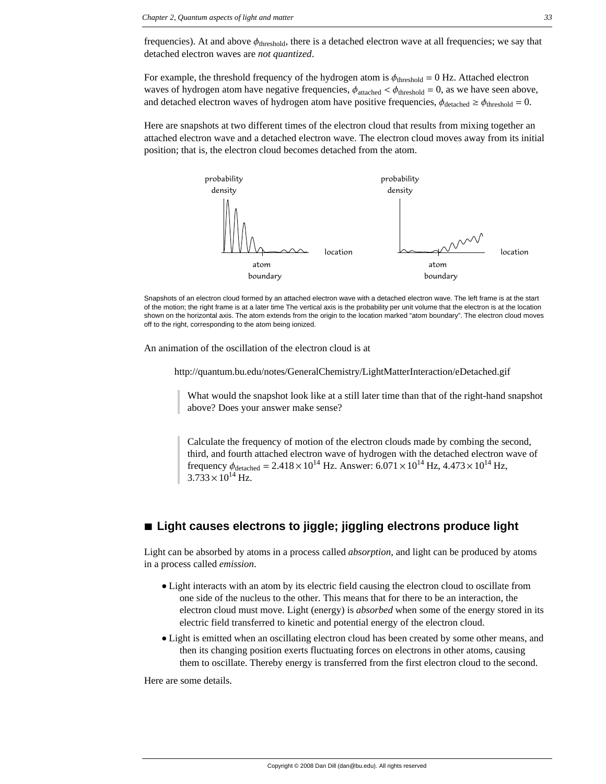frequencies). At and above  $\phi_{\text{threshold}}$ , there is a detached electron wave at all frequencies; we say that detached electron waves are *not quantized*.

For example, the threshold frequency of the hydrogen atom is  $\phi_{\text{threshold}} = 0$  Hz. Attached electron waves of hydrogen atom have negative frequencies,  $\phi_{\text{attached}} < \phi_{\text{threshold}} = 0$ , as we have seen above, and detached electron waves of hydrogen atom have positive frequencies,  $\phi_{\text{detached}} \ge \phi_{\text{threshold}} = 0$ .

Here are snapshots at two different times of the electron cloud that results from mixing together an attached electron wave and a detached electron wave. The electron cloud moves away from its initial position; that is, the electron cloud becomes detached from the atom.



Snapshots of an electron cloud formed by an attached electron wave with a detached electron wave. The left frame is at the start of the motion; the right frame is at a later time The vertical axis is the probability per unit volume that the electron is at the location shown on the horizontal axis. The atom extends from the origin to the location marked "atom boundary". The electron cloud moves off to the right, corresponding to the atom being ionized.

An animation of the oscillation of the electron cloud is at

http://quantum.bu.edu/notes/GeneralChemistry/LightMatterInteraction/eDetached.gif

What would the snapshot look like at a still later time than that of the right-hand snapshot above? Does your answer make sense?

Calculate the frequency of motion of the electron clouds made by combing the second, third, and fourth attached electron wave of hydrogen with the detached electron wave of frequency  $\phi_{\text{detached}} = 2.418 \times 10^{14} \text{ Hz}$ . Answer:  $6.071 \times 10^{14} \text{ Hz}$ ,  $4.473 \times 10^{14} \text{ Hz}$ ,  $3.733 \times 10^{14}$  Hz.

# ■ Light causes electrons to jiggle; jiggling electrons produce light

Light can be absorbed by atoms in a process called *absorption*, and light can be produced by atoms in a process called *emission*.

- è Light interacts with an atom by its electric field causing the electron cloud to oscillate from one side of the nucleus to the other. This means that for there to be an interaction, the electron cloud must move. Light (energy) is *absorbed* when some of the energy stored in its electric field transferred to kinetic and potential energy of the electron cloud.
- è Light is emitted when an oscillating electron cloud has been created by some other means, and then its changing position exerts fluctuating forces on electrons in other atoms, causing them to oscillate. Thereby energy is transferred from the first electron cloud to the second.

Here are some details.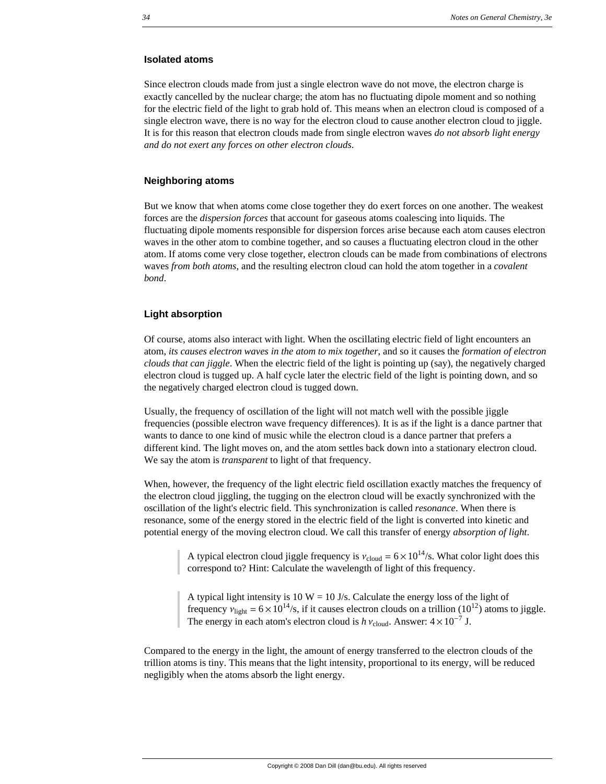### **Isolated atoms**

Since electron clouds made from just a single electron wave do not move, the electron charge is exactly cancelled by the nuclear charge; the atom has no fluctuating dipole moment and so nothing for the electric field of the light to grab hold of. This means when an electron cloud is composed of a single electron wave, there is no way for the electron cloud to cause another electron cloud to jiggle. It is for this reason that electron clouds made from single electron waves *do not absorb light energy and do not exert any forces on other electron clouds*.

### **Neighboring atoms**

But we know that when atoms come close together they do exert forces on one another. The weakest forces are the *dispersion forces* that account for gaseous atoms coalescing into liquids. The fluctuating dipole moments responsible for dispersion forces arise because each atom causes electron waves in the other atom to combine together, and so causes a fluctuating electron cloud in the other atom. If atoms come very close together, electron clouds can be made from combinations of electrons waves *from both atoms*, and the resulting electron cloud can hold the atom together in a *covalent bond*.

### **Light absorption**

Of course, atoms also interact with light. When the oscillating electric field of light encounters an atom, *its causes electron waves in the atom to mix together*, and so it causes the *formation of electron clouds that can jiggle*. When the electric field of the light is pointing up (say), the negatively charged electron cloud is tugged up. A half cycle later the electric field of the light is pointing down, and so the negatively charged electron cloud is tugged down.

Usually, the frequency of oscillation of the light will not match well with the possible jiggle frequencies (possible electron wave frequency differences). It is as if the light is a dance partner that wants to dance to one kind of music while the electron cloud is a dance partner that prefers a different kind. The light moves on, and the atom settles back down into a stationary electron cloud. We say the atom is *transparent* to light of that frequency.

When, however, the frequency of the light electric field oscillation exactly matches the frequency of the electron cloud jiggling, the tugging on the electron cloud will be exactly synchronized with the oscillation of the light's electric field. This synchronization is called *resonance*. When there is resonance, some of the energy stored in the electric field of the light is converted into kinetic and potential energy of the moving electron cloud. We call this transfer of energy *absorption of light*.

A typical electron cloud jiggle frequency is  $v_{\text{cloud}} = 6 \times 10^{14}$ /s. What color light does this correspond to? Hint: Calculate the wavelength of light of this frequency.

A typical light intensity is  $10 W = 10$  J/s. Calculate the energy loss of the light of frequency  $v_{\text{light}} = 6 \times 10^{14}$ /s, if it causes electron clouds on a trillion (10<sup>12</sup>) atoms to jiggle. The energy in each atom's electron cloud is  $h v_{\text{cloud}}$ . Answer:  $4 \times 10^{-7}$  J.

Compared to the energy in the light, the amount of energy transferred to the electron clouds of the trillion atoms is tiny. This means that the light intensity, proportional to its energy, will be reduced negligibly when the atoms absorb the light energy.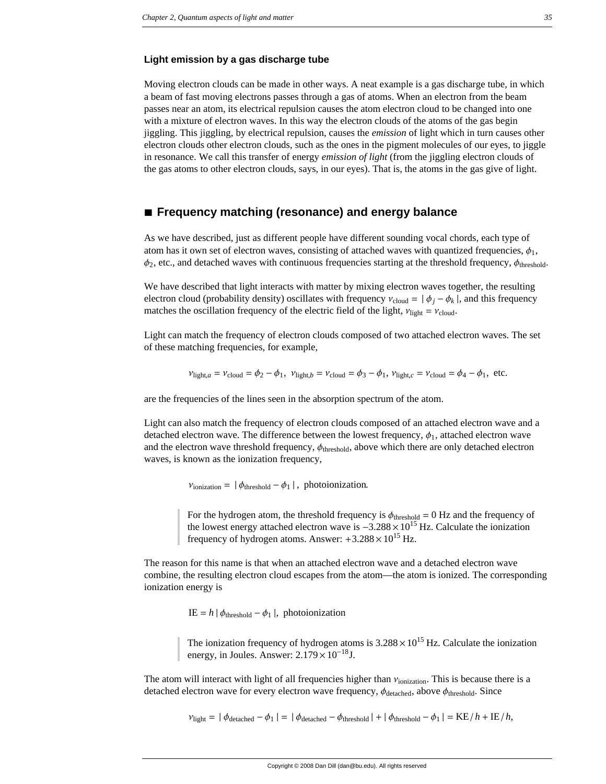### **Light emission by a gas discharge tube**

Moving electron clouds can be made in other ways. A neat example is a gas discharge tube, in which a beam of fast moving electrons passes through a gas of atoms. When an electron from the beam passes near an atom, its electrical repulsion causes the atom electron cloud to be changed into one with a mixture of electron waves. In this way the electron clouds of the atoms of the gas begin jiggling. This jiggling, by electrical repulsion, causes the *emission* of light which in turn causes other electron clouds other electron clouds, such as the ones in the pigment molecules of our eyes, to jiggle in resonance. We call this transfer of energy *emission of light* (from the jiggling electron clouds of the gas atoms to other electron clouds, says, in our eyes). That is, the atoms in the gas give of light.

# **à Frequency matching (resonance) and energy balance**

As we have described, just as different people have different sounding vocal chords, each type of atom has it own set of electron waves, consisting of attached waves with quantized frequencies,  $\phi_1$ ,  $\phi_2$ , etc., and detached waves with continuous frequencies starting at the threshold frequency,  $\phi_{\text{threshold}}$ .

We have described that light interacts with matter by mixing electron waves together, the resulting electron cloud (probability density) oscillates with frequency  $v_{cloud} = | \phi_i - \phi_k |$ , and this frequency matches the oscillation frequency of the electric field of the light,  $v_{\text{light}} = v_{\text{cloud}}$ .

Light can match the frequency of electron clouds composed of two attached electron waves. The set of these matching frequencies, for example,

$$
v_{\text{light},a} = v_{\text{cloud}} = \phi_2 - \phi_1, \ v_{\text{light},b} = v_{\text{cloud}} = \phi_3 - \phi_1, \ v_{\text{light},c} = v_{\text{cloud}} = \phi_4 - \phi_1, \ \text{etc.}
$$

are the frequencies of the lines seen in the absorption spectrum of the atom.

Light can also match the frequency of electron clouds composed of an attached electron wave and a detached electron wave. The difference between the lowest frequency,  $\phi_1$ , attached electron wave and the electron wave threshold frequency,  $\phi_{\text{threshold}}$ , above which there are only detached electron waves, is known as the ionization frequency,

 $v_{\text{ionization}} = | \phi_{\text{threshold}} - \phi_1 |$ , photoionization.

For the hydrogen atom, the threshold frequency is  $\phi_{\text{threshold}} = 0$  Hz and the frequency of the lowest energy attached electron wave is  $-3.288 \times 10^{15}$  Hz. Calculate the ionization frequency of hydrogen atoms. Answer:  $+3.288 \times 10^{15}$  Hz.

The reason for this name is that when an attached electron wave and a detached electron wave combine, the resulting electron cloud escapes from the atom—the atom is ionized. The corresponding ionization energy is

IE =  $h | \phi_{\text{threshold}} - \phi_1 |$ , photoionization

The ionization frequency of hydrogen atoms is  $3.288 \times 10^{15}$  Hz. Calculate the ionization energy, in Joules. Answer:  $2.179 \times 10^{-18}$ J.

The atom will interact with light of all frequencies higher than  $v_{\text{ionization}}$ . This is because there is a detached electron wave for every electron wave frequency,  $\phi_{\text{detached}}$ , above  $\phi_{\text{threshold}}$ . Since

 $v_{\text{light}} = |\phi_{\text{detached}} - \phi_1| = |\phi_{\text{detached}} - \phi_{\text{threshold}}| + |\phi_{\text{threshold}} - \phi_1| = \text{KE}/h + \text{IE}/h,$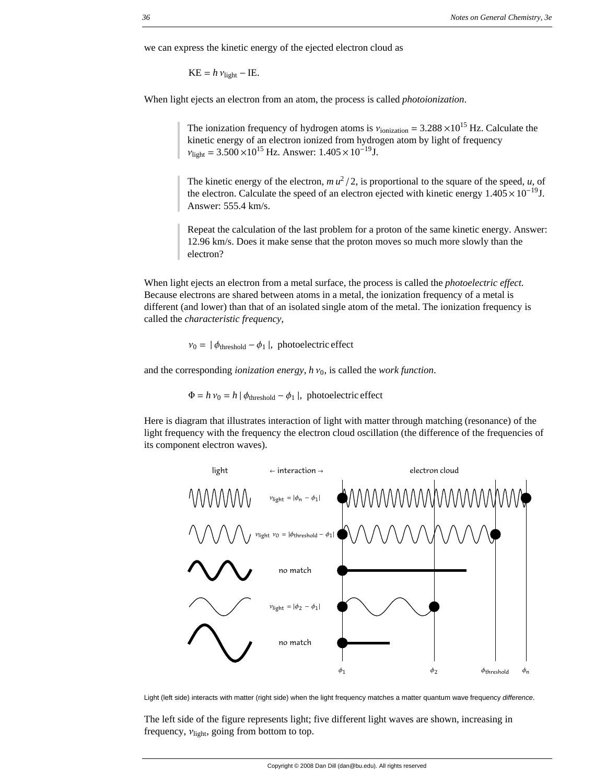we can express the kinetic energy of the ejected electron cloud as

 $KE = h v_{\text{light}} - IE.$ 

When light ejects an electron from an atom, the process is called *photoionization*.

The ionization frequency of hydrogen atoms is  $v_{\text{ionization}} = 3.288 \times 10^{15} \text{ Hz}$ . Calculate the kinetic energy of an electron ionized from hydrogen atom by light of frequency  $v_{\text{light}} = 3.500 \times 10^{15} \text{ Hz}$ . Answer:  $1.405 \times 10^{-19} \text{J}$ .

The kinetic energy of the electron,  $mu^2/2$ , is proportional to the square of the speed, *u*, of the electron. Calculate the speed of an electron ejected with kinetic energy  $1.405 \times 10^{-19}$ J. Answer: 555.4 km/s.

Repeat the calculation of the last problem for a proton of the same kinetic energy. Answer: 12.96 km/s. Does it make sense that the proton moves so much more slowly than the electron?

When light ejects an electron from a metal surface, the process is called the *photoelectric effect*. Because electrons are shared between atoms in a metal, the ionization frequency of a metal is different (and lower) than that of an isolated single atom of the metal. The ionization frequency is called the *characteristic frequency*,

 $v_0 = | \phi_{\text{threshold}} - \phi_1 |$ , photoelectric effect

and the corresponding *ionization energy*,  $h v_0$ , is called the *work function*.

 $\Phi = h v_0 = h |\phi_{\text{threshold}} - \phi_1|$ , photoelectric effect

Here is diagram that illustrates interaction of light with matter through matching (resonance) of the light frequency with the frequency the electron cloud oscillation (the difference of the frequencies of its component electron waves).



Light (left side) interacts with matter (right side) when the light frequency matches a matter quantum wave frequency *difference*.

The left side of the figure represents light; five different light waves are shown, increasing in frequency,  $v_{\text{light}}$ , going from bottom to top.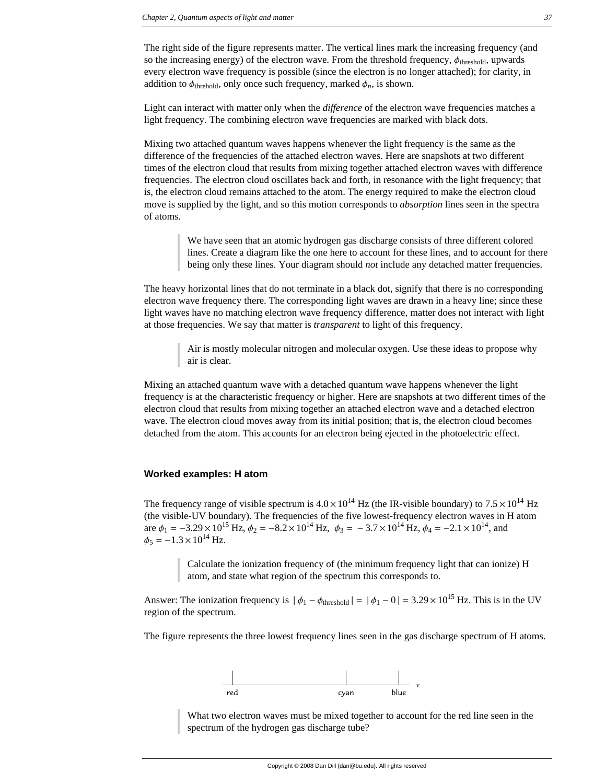The right side of the figure represents matter. The vertical lines mark the increasing frequency (and so the increasing energy) of the electron wave. From the threshold frequency,  $\phi_{\text{threshold}}$ , upwards every electron wave frequency is possible (since the electron is no longer attached); for clarity, in addition to  $\phi_{\text{threshold}}$ , only once such frequency, marked  $\phi_n$ , is shown.

Light can interact with matter only when the *difference* of the electron wave frequencies matches a light frequency. The combining electron wave frequencies are marked with black dots.

Mixing two attached quantum waves happens whenever the light frequency is the same as the difference of the frequencies of the attached electron waves. Here are snapshots at two different times of the electron cloud that results from mixing together attached electron waves with difference frequencies. The electron cloud oscillates back and forth, in resonance with the light frequency; that is, the electron cloud remains attached to the atom. The energy required to make the electron cloud move is supplied by the light, and so this motion corresponds to *absorption* lines seen in the spectra of atoms.

> We have seen that an atomic hydrogen gas discharge consists of three different colored lines. Create a diagram like the one here to account for these lines, and to account for there being only these lines. Your diagram should *not* include any detached matter frequencies.

The heavy horizontal lines that do not terminate in a black dot, signify that there is no corresponding electron wave frequency there. The corresponding light waves are drawn in a heavy line; since these light waves have no matching electron wave frequency difference, matter does not interact with light at those frequencies. We say that matter is *transparent* to light of this frequency.

> Air is mostly molecular nitrogen and molecular oxygen. Use these ideas to propose why air is clear.

Mixing an attached quantum wave with a detached quantum wave happens whenever the light frequency is at the characteristic frequency or higher. Here are snapshots at two different times of the electron cloud that results from mixing together an attached electron wave and a detached electron wave. The electron cloud moves away from its initial position; that is, the electron cloud becomes detached from the atom. This accounts for an electron being ejected in the photoelectric effect.

### **Worked examples: H atom**

The frequency range of visible spectrum is  $4.0 \times 10^{14}$  Hz (the IR-visible boundary) to  $7.5 \times 10^{14}$  Hz (the visible-UV boundary). The frequencies of the five lowest-frequency electron waves in H atom are  $\phi_1 = -3.29 \times 10^{15}$  Hz,  $\phi_2 = -8.2 \times 10^{14}$  Hz,  $\phi_3 = -3.7 \times 10^{14}$  Hz,  $\phi_4 = -2.1 \times 10^{14}$ , and  $\phi_5 = -1.3 \times 10^{14}$  Hz.

> Calculate the ionization frequency of (the minimum frequency light that can ionize) H atom, and state what region of the spectrum this corresponds to.

Answer: The ionization frequency is  $|\phi_1 - \phi_{\text{threshold}}| = |\phi_1 - 0| = 3.29 \times 10^{15}$  Hz. This is in the UV region of the spectrum.

The figure represents the three lowest frequency lines seen in the gas discharge spectrum of H atoms.



What two electron waves must be mixed together to account for the red line seen in the spectrum of the hydrogen gas discharge tube?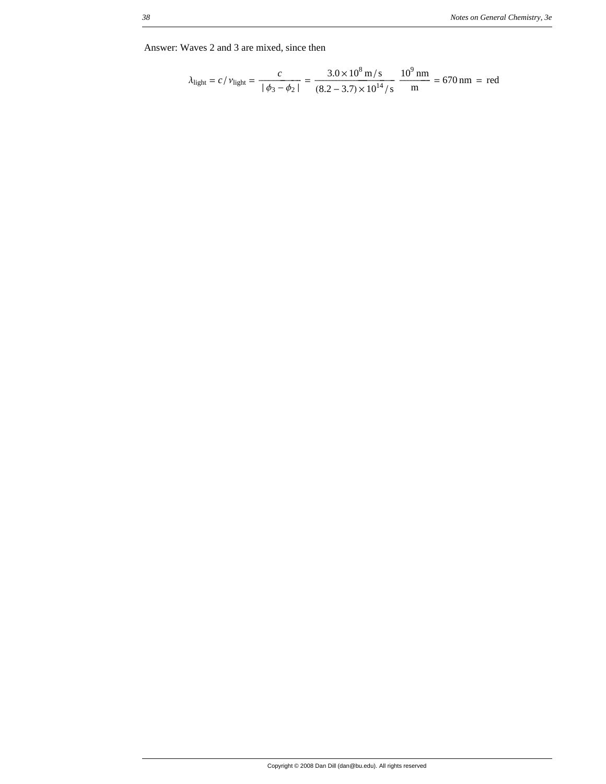Answer: Waves 2 and 3 are mixed, since then

$$
\lambda_{\text{light}} = c / \nu_{\text{light}} = \frac{c}{\left| \phi_3 - \phi_2 \right|} = \frac{3.0 \times 10^8 \text{ m/s}}{(8.2 - 3.7) \times 10^{14} \text{/s}} \frac{10^9 \text{ nm}}{\text{m}} = 670 \text{ nm} = \text{red}
$$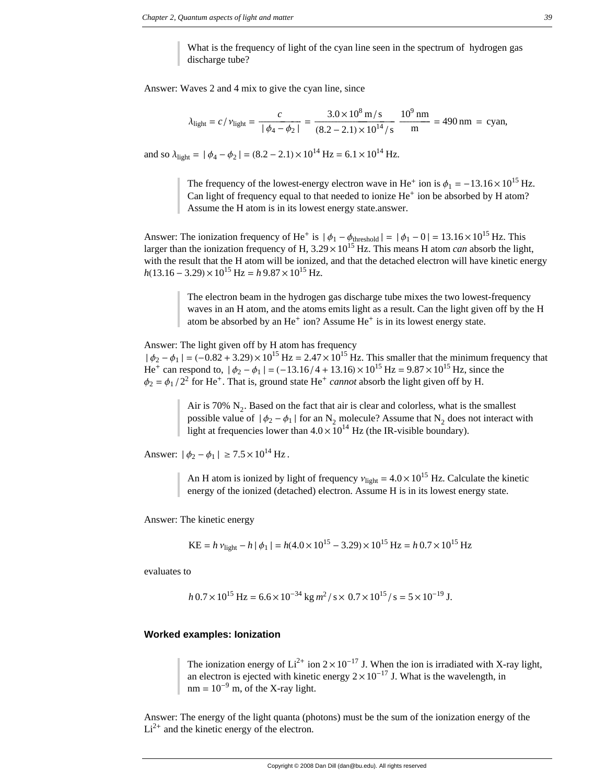What is the frequency of light of the cyan line seen in the spectrum of hydrogen gas discharge tube?

Answer: Waves 2 and 4 mix to give the cyan line, since

$$
\lambda_{\text{light}} = c / \nu_{\text{light}} = \frac{c}{\left| \phi_4 - \phi_2 \right|} = \frac{3.0 \times 10^8 \text{ m/s}}{(8.2 - 2.1) \times 10^{14} / \text{s}} \frac{10^9 \text{ nm}}{\text{m}} = 490 \text{ nm} = \text{cyan},
$$

and so  $\lambda_{\text{light}} = |\phi_4 - \phi_2| = (8.2 - 2.1) \times 10^{14} \text{ Hz} = 6.1 \times 10^{14} \text{ Hz}.$ 

The frequency of the lowest-energy electron wave in He<sup>+</sup> ion is  $\phi_1 = -13.16 \times 10^{15}$  Hz. Can light of frequency equal to that needed to ionize  $He<sup>+</sup>$  ion be absorbed by H atom? Assume the H atom is in its lowest energy state.answer.

Answer: The ionization frequency of He<sup>+</sup> is  $|\phi_1 - \phi_1|$ <sub>threshold</sub>  $| = |\phi_1 - 0| = 13.16 \times 10^{15}$  Hz. This larger than the ionization frequency of H,  $3.29 \times 10^{15}$  Hz. This means H atom *can* absorb the light, with the result that the H atom will be ionized, and that the detached electron will have kinetic energy  $h(13.16 - 3.29) \times 10^{15}$  Hz =  $h9.87 \times 10^{15}$  Hz.

> The electron beam in the hydrogen gas discharge tube mixes the two lowest-frequency waves in an H atom, and the atoms emits light as a result. Can the light given off by the H atom be absorbed by an He<sup>+</sup> ion? Assume He<sup>+</sup> is in its lowest energy state.

Answer: The light given off by H atom has frequency

 $|\phi_2 - \phi_1| = (-0.82 + 3.29) \times 10^{15}$  Hz = 2.47  $\times 10^{15}$  Hz. This smaller that the minimum frequency that He<sup>+</sup> can respond to,  $|\phi_2 - \phi_1| = (-13.16/4 + 13.16) \times 10^{15}$  Hz = 9.87 × 10<sup>15</sup> Hz, since the  $\phi_2 = \phi_1 / 2^2$  for He<sup>+</sup>. That is, ground state He<sup>+</sup> *cannot* absorb the light given off by H.

> Air is 70%  $N_2$ . Based on the fact that air is clear and colorless, what is the smallest possible value of  $\phi_2 - \phi_1$  for an N<sub>2</sub> molecule? Assume that N<sub>2</sub> does not interact with light at frequencies lower than  $4.0 \times 10^{14}$  Hz (the IR-visible boundary).

Answer:  $|\phi_2 - \phi_1| \ge 7.5 \times 10^{14}$  Hz.

An H atom is ionized by light of frequency  $v_{\text{light}} = 4.0 \times 10^{15}$  Hz. Calculate the kinetic energy of the ionized (detached) electron. Assume H is in its lowest energy state.

Answer: The kinetic energy

$$
KE = h v_{light} - h |\phi_1| = h(4.0 \times 10^{15} - 3.29) \times 10^{15} Hz = h 0.7 \times 10^{15} Hz
$$

evaluates to

$$
h\,0.7 \times 10^{15}
$$
 Hz =  $6.6 \times 10^{-34}$  kg  $m^2$  / s  $\times$   $0.7 \times 10^{15}$  / s =  $5 \times 10^{-19}$  J.

### **Worked examples: Ionization**

The ionization energy of  $Li^{2+}$  ion  $2 \times 10^{-17}$  J. When the ion is irradiated with X-ray light, an electron is ejected with kinetic energy  $2 \times 10^{-17}$  J. What is the wavelength, in  $nm = 10^{-9}$  m, of the X-ray light.

Answer: The energy of the light quanta (photons) must be the sum of the ionization energy of the  $Li<sup>2+</sup>$  and the kinetic energy of the electron.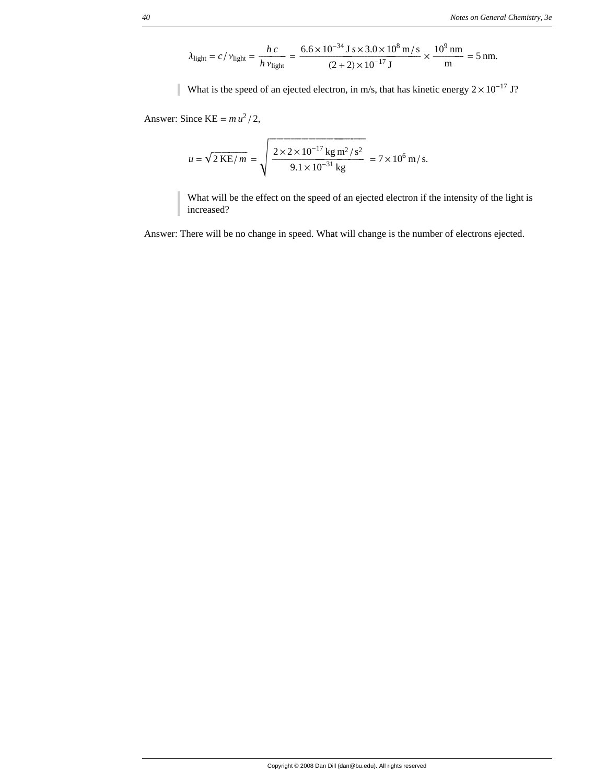$$
\lambda_{\text{light}} = c / v_{\text{light}} = \frac{hc}{h v_{\text{light}}} = \frac{6.6 \times 10^{-34} \text{ J s} \times 3.0 \times 10^8 \text{ m/s}}{(2 + 2) \times 10^{-17} \text{ J}} \times \frac{10^9 \text{ nm}}{\text{m}} = 5 \text{ nm}.
$$

What is the speed of an ejected electron, in m/s, that has kinetic energy  $2 \times 10^{-17}$  J?

Answer: Since  $KE = m u^2 / 2$ ,

$$
u = \sqrt{2 \text{ KE}/m} = \sqrt{\frac{2 \times 2 \times 10^{-17} \text{ kg m}^2/\text{s}^2}{9.1 \times 10^{-31} \text{ kg}}} = 7 \times 10^6 \text{ m/s}.
$$

What will be the effect on the speed of an ejected electron if the intensity of the light is increased?

Answer: There will be no change in speed. What will change is the number of electrons ejected.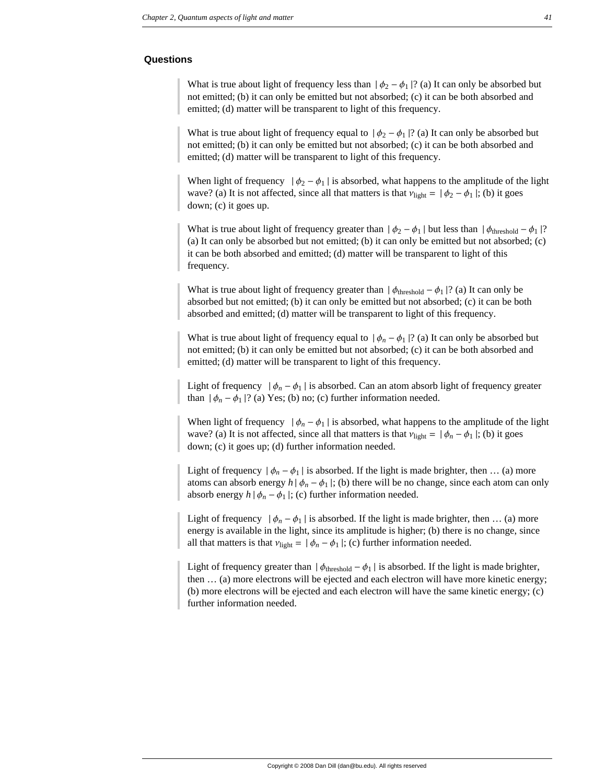### **Questions**

What is true about light of frequency less than  $|\phi_2 - \phi_1|$ ? (a) It can only be absorbed but not emitted; (b) it can only be emitted but not absorbed; (c) it can be both absorbed and emitted; (d) matter will be transparent to light of this frequency.

What is true about light of frequency equal to  $\phi_2 - \phi_1$  ? (a) It can only be absorbed but not emitted; (b) it can only be emitted but not absorbed; (c) it can be both absorbed and emitted; (d) matter will be transparent to light of this frequency.

When light of frequency  $|\phi_2 - \phi_1|$  is absorbed, what happens to the amplitude of the light wave? (a) It is not affected, since all that matters is that  $v_{\text{light}} = |\phi_2 - \phi_1|$ ; (b) it goes down; (c) it goes up.

What is true about light of frequency greater than  $|\phi_2 - \phi_1|$  but less than  $|\phi_{\text{threshold}} - \phi_1|$ ? (a) It can only be absorbed but not emitted; (b) it can only be emitted but not absorbed; (c) it can be both absorbed and emitted; (d) matter will be transparent to light of this frequency.

What is true about light of frequency greater than  $|\phi_{\text{threshold}} - \phi_1|$ ? (a) It can only be absorbed but not emitted; (b) it can only be emitted but not absorbed; (c) it can be both absorbed and emitted; (d) matter will be transparent to light of this frequency.

What is true about light of frequency equal to  $|\phi_n - \phi_1|$ ? (a) It can only be absorbed but not emitted; (b) it can only be emitted but not absorbed; (c) it can be both absorbed and emitted; (d) matter will be transparent to light of this frequency.

Light of frequency  $|\phi_n - \phi_1|$  is absorbed. Can an atom absorb light of frequency greater than  $|\phi_n - \phi_1|$ ? (a) Yes; (b) no; (c) further information needed.

When light of frequency  $|\phi_n - \phi_1|$  is absorbed, what happens to the amplitude of the light wave? (a) It is not affected, since all that matters is that  $v_{\text{light}} = |\phi_n - \phi_1|$ ; (b) it goes down; (c) it goes up; (d) further information needed.

Light of frequency  $|\phi_n - \phi_1|$  is absorbed. If the light is made brighter, then ... (a) more atoms can absorb energy  $h | \phi_n - \phi_1 |$ ; (b) there will be no change, since each atom can only absorb energy  $h | \phi_n - \phi_1 |$ ; (c) further information needed.

Light of frequency  $|\phi_n - \phi_1|$  is absorbed. If the light is made brighter, then ... (a) more energy is available in the light, since its amplitude is higher; (b) there is no change, since all that matters is that  $v_{\text{light}} = |\phi_n - \phi_1|$ ; (c) further information needed.

Light of frequency greater than  $|\phi_{threshold} - \phi_1|$  is absorbed. If the light is made brighter, then … (a) more electrons will be ejected and each electron will have more kinetic energy; (b) more electrons will be ejected and each electron will have the same kinetic energy; (c) further information needed.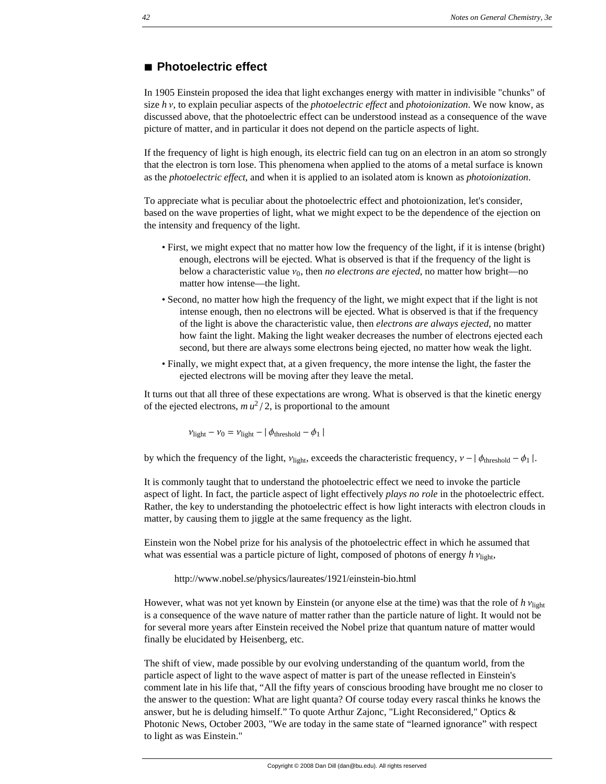# **à Photoelectric effect**

In 1905 Einstein proposed the idea that light exchanges energy with matter in indivisible "chunks" of size *h* v, to explain peculiar aspects of the *photoelectric effect* and *photoionization*. We now know, as discussed above, that the photoelectric effect can be understood instead as a consequence of the wave picture of matter, and in particular it does not depend on the particle aspects of light.

If the frequency of light is high enough, its electric field can tug on an electron in an atom so strongly that the electron is torn lose. This phenomena when applied to the atoms of a metal surface is known as the *photoelectric effect*, and when it is applied to an isolated atom is known as *photoionization*.

To appreciate what is peculiar about the photoelectric effect and photoionization, let's consider, based on the wave properties of light, what we might expect to be the dependence of the ejection on the intensity and frequency of the light.

- First, we might expect that no matter how low the frequency of the light, if it is intense (bright) enough, electrons will be ejected. What is observed is that if the frequency of the light is below a characteristic value  $v_0$ , then *no electrons are ejected*, no matter how bright—no matter how intense—the light.
- Second, no matter how high the frequency of the light, we might expect that if the light is not intense enough, then no electrons will be ejected. What is observed is that if the frequency of the light is above the characteristic value, then *electrons are always ejected*, no matter how faint the light. Making the light weaker decreases the number of electrons ejected each second, but there are always some electrons being ejected, no matter how weak the light.
- Finally, we might expect that, at a given frequency, the more intense the light, the faster the ejected electrons will be moving after they leave the metal.

It turns out that all three of these expectations are wrong. What is observed is that the kinetic energy of the ejected electrons,  $m u^2 / 2$ , is proportional to the amount

 $v_{\text{light}} - v_0 = v_{\text{light}} - |\phi_{\text{threshold}} - \phi_1|$ 

by which the frequency of the light,  $v_{\text{light}}$ , exceeds the characteristic frequency,  $v - |\phi_{\text{threshold}} - \phi_1|$ .

It is commonly taught that to understand the photoelectric effect we need to invoke the particle aspect of light. In fact, the particle aspect of light effectively *plays no role* in the photoelectric effect. Rather, the key to understanding the photoelectric effect is how light interacts with electron clouds in matter, by causing them to jiggle at the same frequency as the light.

Einstein won the Nobel prize for his analysis of the photoelectric effect in which he assumed that what was essential was a particle picture of light, composed of photons of energy  $h v_{\text{light}}$ ,

http://www.nobel.se/physics/laureates/1921/einstein-bio.html

However, what was not yet known by Einstein (or anyone else at the time) was that the role of  $h$   $v_{\text{light}}$ is a consequence of the wave nature of matter rather than the particle nature of light. It would not be for several more years after Einstein received the Nobel prize that quantum nature of matter would finally be elucidated by Heisenberg, etc.

The shift of view, made possible by our evolving understanding of the quantum world, from the particle aspect of light to the wave aspect of matter is part of the unease reflected in Einstein's comment late in his life that, "All the fifty years of conscious brooding have brought me no closer to the answer to the question: What are light quanta? Of course today every rascal thinks he knows the answer, but he is deluding himself." To quote Arthur Zajonc, "Light Reconsidered," Optics & Photonic News, October 2003, "We are today in the same state of "learned ignorance" with respect to light as was Einstein."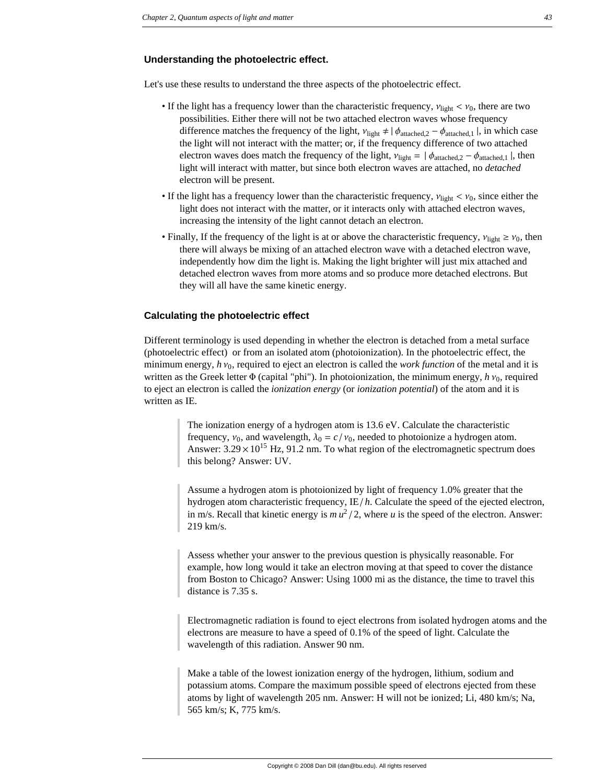### **Understanding the photoelectric effect.**

Let's use these results to understand the three aspects of the photoelectric effect.

- If the light has a frequency lower than the characteristic frequency,  $v_{\text{light}} < v_0$ , there are two possibilities. Either there will not be two attached electron waves whose frequency difference matches the frequency of the light,  $v_{\text{light}} \neq \phi_{\text{attached},2} - \phi_{\text{attached},1}$ , in which case the light will not interact with the matter; or, if the frequency difference of two attached electron waves does match the frequency of the light,  $v_{\text{light}} = \frac{\phi_{\text{attached},2} - \phi_{\text{attached},1}}{\phi_{\text{attached},1}}$ , then light will interact with matter, but since both electron waves are attached, no *detached* electron will be present.
- If the light has a frequency lower than the characteristic frequency,  $v_{\text{light}} < v_0$ , since either the light does not interact with the matter, or it interacts only with attached electron waves, increasing the intensity of the light cannot detach an electron.
- Finally, If the frequency of the light is at or above the characteristic frequency,  $v_{\text{light}} \ge v_0$ , then there will always be mixing of an attached electron wave with a detached electron wave, independently how dim the light is. Making the light brighter will just mix attached and detached electron waves from more atoms and so produce more detached electrons. But they will all have the same kinetic energy.

### **Calculating the photoelectric effect**

Different terminology is used depending in whether the electron is detached from a metal surface (photoelectric effect) or from an isolated atom (photoionization). In the photoelectric effect, the minimum energy,  $h v_0$ , required to eject an electron is called the *work function* of the metal and it is written as the Greek letter  $\Phi$  (capital "phi"). In photoionization, the minimum energy,  $h v_0$ , required to eject an electron is called the *ionization energy* (or *ionization potential*) of the atom and it is written as IE.

> The ionization energy of a hydrogen atom is 13.6 eV. Calculate the characteristic frequency,  $v_0$ , and wavelength,  $\lambda_0 = c/v_0$ , needed to photoionize a hydrogen atom. Answer:  $3.29 \times 10^{15}$  Hz, 91.2 nm. To what region of the electromagnetic spectrum does this belong? Answer: UV.

Assume a hydrogen atom is photoionized by light of frequency 1.0% greater that the hydrogen atom characteristic frequency, IE/h. Calculate the speed of the ejected electron, in m/s. Recall that kinetic energy is  $mu^2/2$ , where *u* is the speed of the electron. Answer: 219 km/s.

Assess whether your answer to the previous question is physically reasonable. For example, how long would it take an electron moving at that speed to cover the distance from Boston to Chicago? Answer: Using 1000 mi as the distance, the time to travel this distance is 7.35 s.

Electromagnetic radiation is found to eject electrons from isolated hydrogen atoms and the electrons are measure to have a speed of 0.1% of the speed of light. Calculate the wavelength of this radiation. Answer 90 nm.

Make a table of the lowest ionization energy of the hydrogen, lithium, sodium and potassium atoms. Compare the maximum possible speed of electrons ejected from these atoms by light of wavelength 205 nm. Answer: H will not be ionized; Li, 480 km/s; Na, 565 km/s; K, 775 km/s.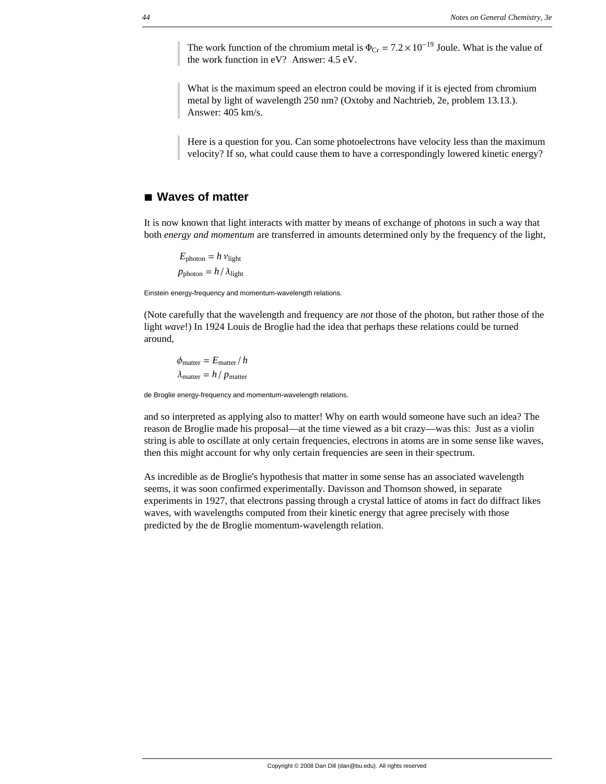The work function of the chromium metal is  $\Phi_{Cr} = 7.2 \times 10^{-19}$  Joule. What is the value of the work function in eV? Answer: 4.5 eV.

What is the maximum speed an electron could be moving if it is ejected from chromium metal by light of wavelength 250 nm? (Oxtoby and Nachtrieb, 2e, problem 13.13.). Answer: 405 km/s.

Here is a question for you. Can some photoelectrons have velocity less than the maximum velocity? If so, what could cause them to have a correspondingly lowered kinetic energy?

# **à Waves of matter**

It is now known that light interacts with matter by means of exchange of photons in such a way that both *energy and momentum* are transferred in amounts determined only by the frequency of the light,

 $E_{\text{photon}} = h v_{\text{light}}$  $p_{\text{photon}} = h / \lambda_{\text{light}}$ 

Einstein energy-frequency and momentum-wavelength relations.

(Note carefully that the wavelength and frequency are *not* those of the photon, but rather those of the light *wave*!) In 1924 Louis de Broglie had the idea that perhaps these relations could be turned around,

 $\phi_{\text{matter}} = E_{\text{matter}}/h$  $\lambda_{\text{matter}} = h / p_{\text{matter}}$ 

de Broglie energy-frequency and momentum-wavelength relations.

and so interpreted as applying also to matter! Why on earth would someone have such an idea? The reason de Broglie made his proposal—at the time viewed as a bit crazy—was this: Just as a violin string is able to oscillate at only certain frequencies, electrons in atoms are in some sense like waves, then this might account for why only certain frequencies are seen in their spectrum.

As incredible as de Broglie's hypothesis that matter in some sense has an associated wavelength seems, it was soon confirmed experimentally. Davisson and Thomson showed, in separate experiments in 1927, that electrons passing through a crystal lattice of atoms in fact do diffract likes waves, with wavelengths computed from their kinetic energy that agree precisely with those predicted by the de Broglie momentum-wavelength relation.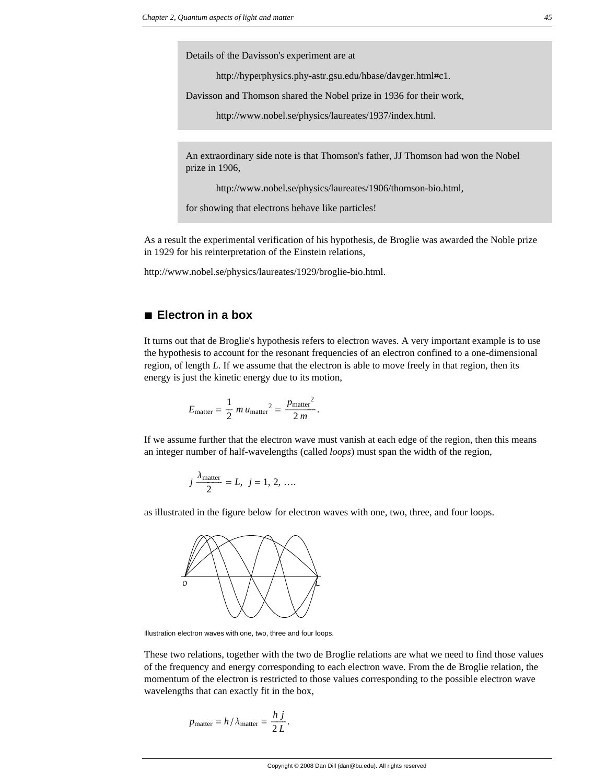Details of the Davisson's experiment are at

http://hyperphysics.phy-astr.gsu.edu/hbase/davger.html#c1*.*

Davisson and Thomson shared the Nobel prize in 1936 for their work,

http://www.nobel.se/physics/laureates/1937/index.html.

An extraordinary side note is that Thomson's father, JJ Thomson had won the Nobel prize in 1906,

http://www.nobel.se/physics/laureates/1906/thomson-bio.html,

for showing that electrons behave like particles!

As a result the experimental verification of his hypothesis, de Broglie was awarded the Noble prize in 1929 for his reinterpretation of the Einstein relations,

http://www.nobel.se/physics/laureates/1929/broglie-bio.html.

# **à Electron in a box**

It turns out that de Broglie's hypothesis refers to electron waves. A very important example is to use the hypothesis to account for the resonant frequencies of an electron confined to a one-dimensional region, of length *L*. If we assume that the electron is able to move freely in that region, then its energy is just the kinetic energy due to its motion,

$$
E_{\text{matter}} = \frac{1}{2} m u_{\text{matter}}^2 = \frac{p_{\text{matter}}^2}{2 m}.
$$

If we assume further that the electron wave must vanish at each edge of the region, then this means an integer number of half-wavelengths (called *loops*) must span the width of the region,

$$
j \frac{\lambda_{\text{matter}}}{2} = L, \ j = 1, 2, ....
$$

as illustrated in the figure below for electron waves with one, two, three, and four loops.



Illustration electron waves with one, two, three and four loops.

These two relations, together with the two de Broglie relations are what we need to find those values of the frequency and energy corresponding to each electron wave. From the de Broglie relation, the momentum of the electron is restricted to those values corresponding to the possible electron wave wavelengths that can exactly fit in the box,

$$
p_{\text{matter}} = h / \lambda_{\text{matter}} = \frac{h \, j}{2 \, L}.
$$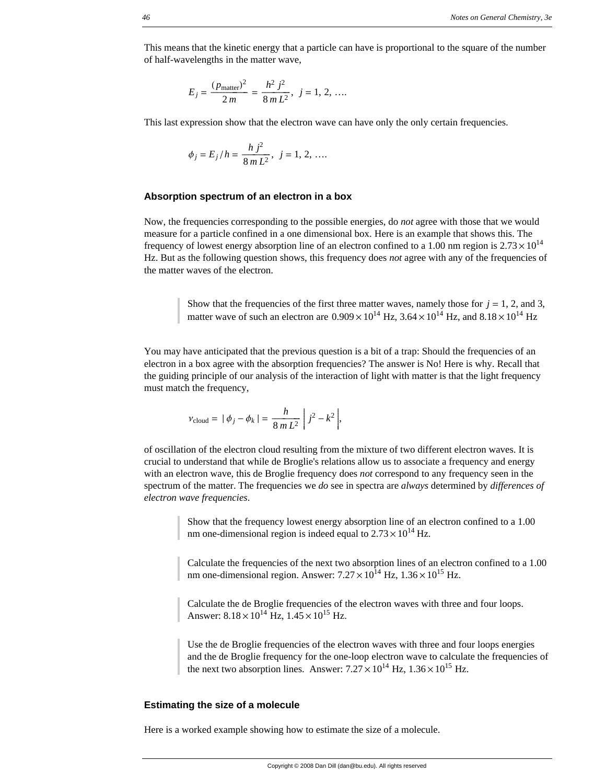This means that the kinetic energy that a particle can have is proportional to the square of the number of half-wavelengths in the matter wave,

$$
E_j = \frac{(p_{\text{matter}})^2}{2m} = \frac{h^2 j^2}{8m L^2}, \ j = 1, 2, \dots
$$

This last expression show that the electron wave can have only the only certain frequencies.

$$
\phi_j = E_j/h = \frac{h j^2}{8m L^2}, \ j = 1, 2, ....
$$

### **Absorption spectrum of an electron in a box**

Now, the frequencies corresponding to the possible energies, do *not* agree with those that we would measure for a particle confined in a one dimensional box. Here is an example that shows this. The frequency of lowest energy absorption line of an electron confined to a 1.00 nm region is  $2.73 \times 10^{14}$ Hz. But as the following question shows, this frequency does *not* agree with any of the frequencies of the matter waves of the electron.

Show that the frequencies of the first three matter waves, namely those for  $j = 1, 2$ , and 3, matter wave of such an electron are  $0.909 \times 10^{14}$  Hz,  $3.64 \times 10^{14}$  Hz, and  $8.18 \times 10^{14}$  Hz

You may have anticipated that the previous question is a bit of a trap: Should the frequencies of an electron in a box agree with the absorption frequencies? The answer is No! Here is why. Recall that the guiding principle of our analysis of the interaction of light with matter is that the light frequency must match the frequency,

$$
v_{\text{cloud}} = |\phi_j - \phi_k| = \frac{h}{8mL^2} |j^2 - k^2|,
$$

of oscillation of the electron cloud resulting from the mixture of two different electron waves. It is crucial to understand that while de Broglie's relations allow us to associate a frequency and energy with an electron wave, this de Broglie frequency does *not* correspond to any frequency seen in the spectrum of the matter. The frequencies we *do* see in spectra are *always* determined by *differences of electron wave frequencies*.

> Show that the frequency lowest energy absorption line of an electron confined to a 1.00 nm one-dimensional region is indeed equal to  $2.73 \times 10^{14}$  Hz.

Calculate the frequencies of the next two absorption lines of an electron confined to a 1.00 nm one-dimensional region. Answer:  $7.27 \times 10^{14}$  Hz,  $1.36 \times 10^{15}$  Hz.

Calculate the de Broglie frequencies of the electron waves with three and four loops. Answer:  $8.18 \times 10^{14}$  Hz,  $1.45 \times 10^{15}$  Hz.

Use the de Broglie frequencies of the electron waves with three and four loops energies and the de Broglie frequency for the one-loop electron wave to calculate the frequencies of the next two absorption lines. Answer:  $7.27 \times 10^{14}$  Hz,  $1.36 \times 10^{15}$  Hz.

### **Estimating the size of a molecule**

Here is a worked example showing how to estimate the size of a molecule.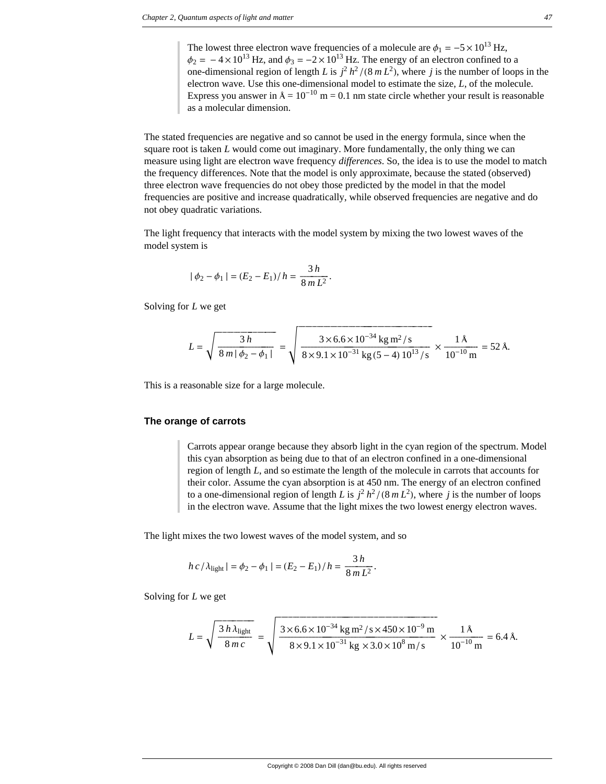The lowest three electron wave frequencies of a molecule are  $\phi_1 = -5 \times 10^{13}$  Hz,  $\phi_2 = -4 \times 10^{13}$  Hz, and  $\phi_3 = -2 \times 10^{13}$  Hz. The energy of an electron confined to a one-dimensional region of length *L* is  $j^2 h^2 / (8 mL^2)$ , where *j* is the number of loops in the electron wave. Use this one-dimensional model to estimate the size, *L*, of the molecule. Express you answer in  $A = 10^{-10}$  m = 0.1 nm state circle whether your result is reasonable as a molecular dimension.

The stated frequencies are negative and so cannot be used in the energy formula, since when the square root is taken *L* would come out imaginary. More fundamentally, the only thing we can measure using light are electron wave frequency *differences*. So, the idea is to use the model to match the frequency differences. Note that the model is only approximate, because the stated (observed) three electron wave frequencies do not obey those predicted by the model in that the model frequencies are positive and increase quadratically, while observed frequencies are negative and do not obey quadratic variations.

The light frequency that interacts with the model system by mixing the two lowest waves of the model system is

$$
|\phi_2 - \phi_1| = (E_2 - E_1)/h = \frac{3 h}{8 mL^2}.
$$

Solving for *L* we get

$$
L = \sqrt{\frac{3 h}{8 m \mid \phi_2 - \phi_1 \mid}} = \sqrt{\frac{3 \times 6.6 \times 10^{-34} \text{ kg m}^2/\text{s}}{8 \times 9.1 \times 10^{-31} \text{ kg (5-4) } 10^{13}/\text{s}}} \times \frac{1 \text{ Å}}{10^{-10} \text{ m}} = 52 \text{ Å}.
$$

This is a reasonable size for a large molecule.

### **The orange of carrots**

Carrots appear orange because they absorb light in the cyan region of the spectrum. Model this cyan absorption as being due to that of an electron confined in a one-dimensional region of length *L*, and so estimate the length of the molecule in carrots that accounts for their color. Assume the cyan absorption is at 450 nm. The energy of an electron confined to a one-dimensional region of length *L* is  $j^2 h^2 / (8 mL^2)$ , where *j* is the number of loops in the electron wave. Assume that the light mixes the two lowest energy electron waves.

The light mixes the two lowest waves of the model system, and so

$$
h c/\lambda_{\text{light}} = \phi_2 - \phi_1 = (E_2 - E_1)/h = \frac{3 h}{8 mL^2}.
$$

Solving for *L* we get

$$
L = \sqrt{\frac{3 h \lambda_{\text{light}}}{8 m c}} = \sqrt{\frac{3 \times 6.6 \times 10^{-34} \text{ kg m}^2 / \text{s} \times 450 \times 10^{-9} \text{ m}}{8 \times 9.1 \times 10^{-31} \text{ kg} \times 3.0 \times 10^8 \text{ m/s}}} \times \frac{1 \text{ Å}}{10^{-10} \text{ m}} = 6.4 \text{ Å}.
$$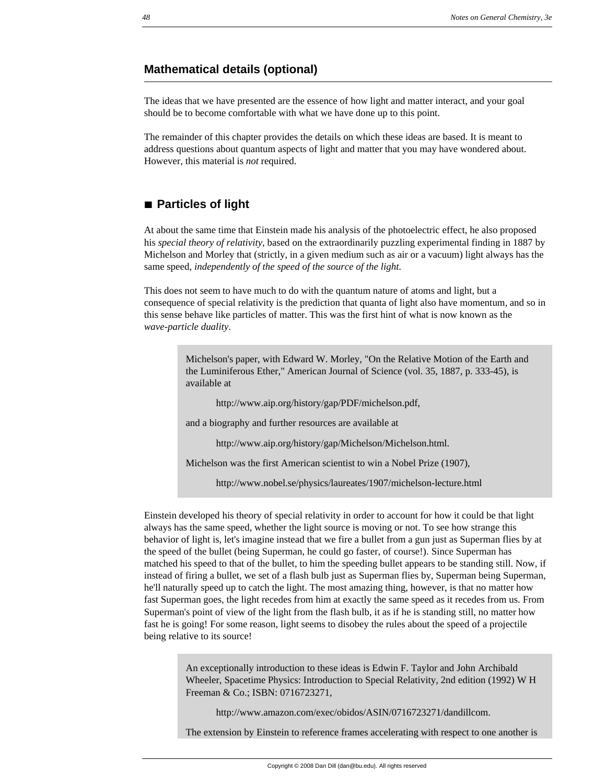# **Mathematical details (optional)**

The ideas that we have presented are the essence of how light and matter interact, and your goal should be to become comfortable with what we have done up to this point.

The remainder of this chapter provides the details on which these ideas are based. It is meant to address questions about quantum aspects of light and matter that you may have wondered about. However, this material is *not* required.

# **à Particles of light**

At about the same time that Einstein made his analysis of the photoelectric effect, he also proposed his *special theory of relativity*, based on the extraordinarily puzzling experimental finding in 1887 by Michelson and Morley that (strictly, in a given medium such as air or a vacuum) light always has the same speed, *independently of the speed of the source of the light*.

This does not seem to have much to do with the quantum nature of atoms and light, but a consequence of special relativity is the prediction that quanta of light also have momentum, and so in this sense behave like particles of matter. This was the first hint of what is now known as the *wave-particle duality*.

> Michelson's paper, with Edward W. Morley, "On the Relative Motion of the Earth and the Luminiferous Ether," American Journal of Science (vol. 35, 1887, p. 333-45), is available at

http://www.aip.org/history/gap/PDF/michelson.pdf,

and a biography and further resources are available at

http://www.aip.org/history/gap/Michelson/Michelson.html.

Michelson was the first American scientist to win a Nobel Prize (1907),

http://www.nobel.se/physics/laureates/1907/michelson-lecture.html

Einstein developed his theory of special relativity in order to account for how it could be that light always has the same speed, whether the light source is moving or not. To see how strange this behavior of light is, let's imagine instead that we fire a bullet from a gun just as Superman flies by at the speed of the bullet (being Superman, he could go faster, of course!). Since Superman has matched his speed to that of the bullet, to him the speeding bullet appears to be standing still. Now, if instead of firing a bullet, we set of a flash bulb just as Superman flies by, Superman being Superman, he'll naturally speed up to catch the light. The most amazing thing, however, is that no matter how fast Superman goes, the light recedes from him at exactly the same speed as it recedes from us. From Superman's point of view of the light from the flash bulb, it as if he is standing still, no matter how fast he is going! For some reason, light seems to disobey the rules about the speed of a projectile being relative to its source!

> An exceptionally introduction to these ideas is Edwin F. Taylor and John Archibald Wheeler, Spacetime Physics: Introduction to Special Relativity, 2nd edition (1992) W H Freeman & Co.; ISBN: 0716723271,

http://www.amazon.com/exec/obidos/ASIN/0716723271/dandillcom.

The extension by Einstein to reference frames accelerating with respect to one another is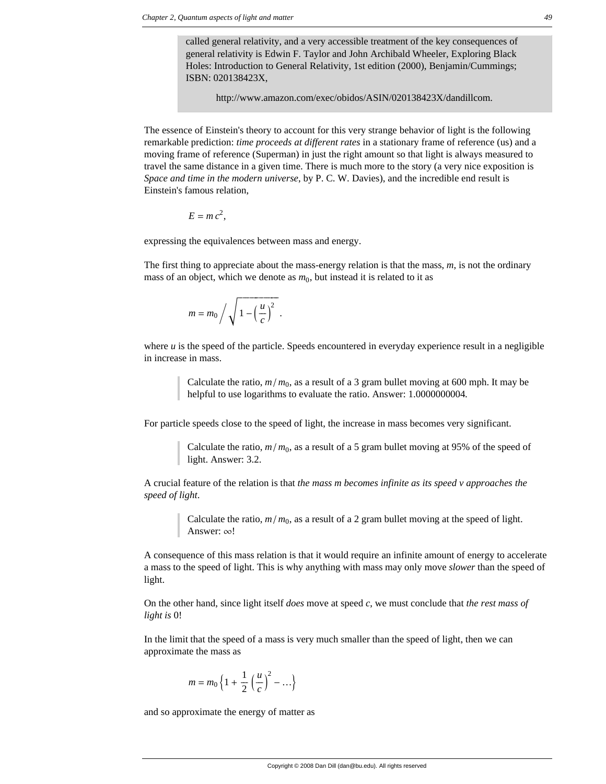called general relativity, and a very accessible treatment of the key consequences of general relativity is Edwin F. Taylor and John Archibald Wheeler, Exploring Black Holes: Introduction to General Relativity, 1st edition (2000), Benjamin/Cummings; ISBN: 020138423X,

http://www.amazon.com/exec/obidos/ASIN/020138423X/dandillcom.

The essence of Einstein's theory to account for this very strange behavior of light is the following remarkable prediction: *time proceeds at different rates* in a stationary frame of reference (us) and a moving frame of reference (Superman) in just the right amount so that light is always measured to travel the same distance in a given time. There is much more to the story (a very nice exposition is *Space and time in the modern universe*, by P. C. W. Davies), and the incredible end result is Einstein's famous relation,

$$
E = mc^2,
$$

expressing the equivalences between mass and energy.

The first thing to appreciate about the mass-energy relation is that the mass, *m*, is not the ordinary mass of an object, which we denote as  $m_0$ , but instead it is related to it as

$$
m = m_0 / \sqrt{1 - \left(\frac{u}{c}\right)^2}.
$$

where  $u$  is the speed of the particle. Speeds encountered in everyday experience result in a negligible in increase in mass.

> Calculate the ratio,  $m/m_0$ , as a result of a 3 gram bullet moving at 600 mph. It may be helpful to use logarithms to evaluate the ratio. Answer: 1.0000000004.

For particle speeds close to the speed of light, the increase in mass becomes very significant.

Calculate the ratio,  $m/m_0$ , as a result of a 5 gram bullet moving at 95% of the speed of light. Answer: 3.2.

A crucial feature of the relation is that *the mass m becomes infinite as its speed v approaches the speed of light*.

> Calculate the ratio,  $m/m_0$ , as a result of a 2 gram bullet moving at the speed of light. Answer:  $\infty!$

A consequence of this mass relation is that it would require an infinite amount of energy to accelerate a mass to the speed of light. This is why anything with mass may only move *slower* than the speed of light.

On the other hand, since light itself *does* move at speed *c*, we must conclude that *the rest mass of light is* 0!

In the limit that the speed of a mass is very much smaller than the speed of light, then we can approximate the mass as

$$
m = m_0 \left\{ 1 + \frac{1}{2} \left( \frac{u}{c} \right)^2 - \ldots \right\}
$$

and so approximate the energy of matter as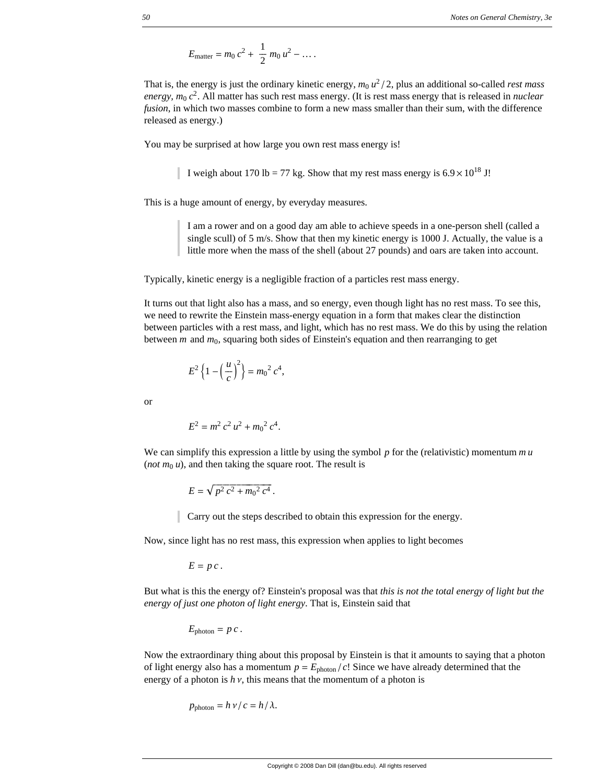$$
E_{\text{matter}} = m_0 c^2 + \frac{1}{2} m_0 u^2 - \dots
$$

That is, the energy is just the ordinary kinetic energy,  $m_0 u^2 / 2$ , plus an additional so-called *rest mass energy, m*<sup>0</sup> *c*2. All matter has such rest mass energy. (It is rest mass energy that is released in *nuclear fusion*, in which two masses combine to form a new mass smaller than their sum, with the difference released as energy.)

You may be surprised at how large you own rest mass energy is!

I weigh about 170 lb = 77 kg. Show that my rest mass energy is  $6.9 \times 10^{18}$  J!

This is a huge amount of energy, by everyday measures.

I am a rower and on a good day am able to achieve speeds in a one-person shell (called a single scull) of 5 m/s. Show that then my kinetic energy is 1000 J. Actually, the value is a little more when the mass of the shell (about 27 pounds) and oars are taken into account.

Typically, kinetic energy is a negligible fraction of a particles rest mass energy.

It turns out that light also has a mass, and so energy, even though light has no rest mass. To see this, we need to rewrite the Einstein mass-energy equation in a form that makes clear the distinction between particles with a rest mass, and light, which has no rest mass. We do this by using the relation between *m* and  $m_0$ , squaring both sides of Einstein's equation and then rearranging to get

$$
E^{2}\left\{1-\left(\frac{u}{c}\right)^{2}\right\}=m_{0}^{2}c^{4},
$$

or

$$
E^2 = m^2 c^2 u^2 + m_0^2 c^4.
$$

We can simplify this expression a little by using the symbol *p* for the (relativistic) momentum *m u* (*not*  $m_0 u$ ), and then taking the square root. The result is

$$
E = \sqrt{p^2 c^2 + m_0^2 c^4}.
$$

Carry out the steps described to obtain this expression for the energy.

Now, since light has no rest mass, this expression when applies to light becomes

$$
E = p c.
$$

But what is this the energy of? Einstein's proposal was that *this is not the total energy of light but the energy of just one photon of light energy*. That is, Einstein said that

$$
E_{\text{photon}} = p c.
$$

Now the extraordinary thing about this proposal by Einstein is that it amounts to saying that a photon of light energy also has a momentum  $p = E_{\text{photon}}/c!$  Since we have already determined that the energy of a photon is  $h v$ , this means that the momentum of a photon is

$$
p_{\text{photon}} = h \, \nu / c = h / \lambda.
$$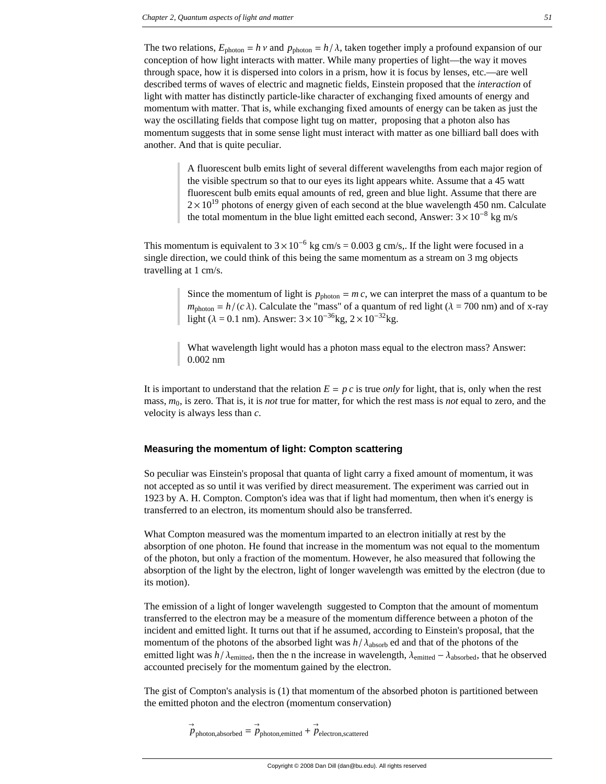The two relations,  $E_{\text{photon}} = h v$  and  $p_{\text{photon}} = h/\lambda$ , taken together imply a profound expansion of our conception of how light interacts with matter. While many properties of light—the way it moves through space, how it is dispersed into colors in a prism, how it is focus by lenses, etc.—are well described terms of waves of electric and magnetic fields, Einstein proposed that the *interaction* of light with matter has distinctly particle-like character of exchanging fixed amounts of energy and momentum with matter. That is, while exchanging fixed amounts of energy can be taken as just the way the oscillating fields that compose light tug on matter, proposing that a photon also has momentum suggests that in some sense light must interact with matter as one billiard ball does with another. And that is quite peculiar.

> A fluorescent bulb emits light of several different wavelengths from each major region of the visible spectrum so that to our eyes its light appears white. Assume that a 45 watt fluorescent bulb emits equal amounts of red, green and blue light. Assume that there are  $2 \times 10^{19}$  photons of energy given of each second at the blue wavelength 450 nm. Calculate the total momentum in the blue light emitted each second, Answer:  $3 \times 10^{-8}$  kg m/s

This momentum is equivalent to  $3 \times 10^{-6}$  kg cm/s = 0.003 g cm/s,. If the light were focused in a single direction, we could think of this being the same momentum as a stream on 3 mg objects travelling at 1 cm/s.

> Since the momentum of light is  $p_{\text{photon}} = m c$ , we can interpret the mass of a quantum to be  $m_{photon} = h/(c \lambda)$ . Calculate the "mass" of a quantum of red light ( $\lambda = 700$  nm) and of x-ray light ( $\lambda = 0.1$  nm). Answer:  $3 \times 10^{-36}$ kg,  $2 \times 10^{-32}$ kg.

What wavelength light would has a photon mass equal to the electron mass? Answer: 0.002 nm

It is important to understand that the relation  $E = p c$  is true *only* for light, that is, only when the rest mass, *m*0, is zero. That is, it is *not* true for matter, for which the rest mass is *not* equal to zero, and the velocity is always less than *c*.

### **Measuring the momentum of light: Compton scattering**

So peculiar was Einstein's proposal that quanta of light carry a fixed amount of momentum, it was not accepted as so until it was verified by direct measurement. The experiment was carried out in 1923 by A. H. Compton. Compton's idea was that if light had momentum, then when it's energy is transferred to an electron, its momentum should also be transferred.

What Compton measured was the momentum imparted to an electron initially at rest by the absorption of one photon. He found that increase in the momentum was not equal to the momentum of the photon, but only a fraction of the momentum. However, he also measured that following the absorption of the light by the electron, light of longer wavelength was emitted by the electron (due to its motion).

The emission of a light of longer wavelength suggested to Compton that the amount of momentum transferred to the electron may be a measure of the momentum difference between a photon of the incident and emitted light. It turns out that if he assumed, according to Einstein's proposal, that the momentum of the photons of the absorbed light was  $h/\lambda_{\text{absorb}}$  ed and that of the photons of the emitted light was  $h/\lambda_{\text{emitted}}$ , then the n the increase in wavelength,  $\lambda_{\text{emitted}} - \lambda_{\text{absorbed}}$ , that he observed accounted precisely for the momentum gained by the electron.

The gist of Compton's analysis is (1) that momentum of the absorbed photon is partitioned between the emitted photon and the electron (momentum conservation)

> $\vec{p}$ photon,absorbed =  $\vec{p}$ photon,emitted +  $\vec{p}$ electron,scattered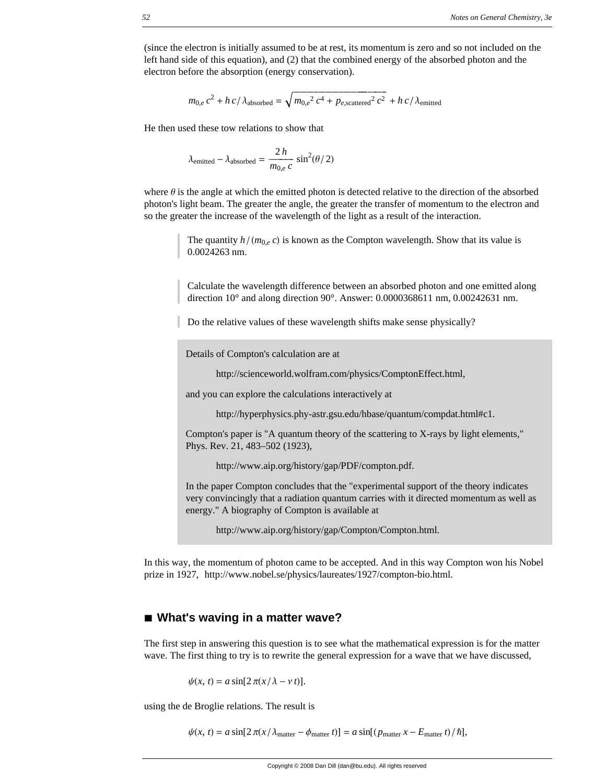(since the electron is initially assumed to be at rest, its momentum is zero and so not included on the left hand side of this equation), and (2) that the combined energy of the absorbed photon and the electron before the absorption (energy conservation).

$$
m_{0,e}c^2 + h c / \lambda_{\text{absorbed}} = \sqrt{m_{0,e}^2 c^4 + p_{e,\text{scattered}}^2 c^2} + h c / \lambda_{\text{emitted}}
$$

He then used these tow relations to show that

$$
\lambda_{\text{emitted}} - \lambda_{\text{absorbed}} = \frac{2 h}{m_{0,e} c} \sin^2(\theta/2)
$$

where  $\theta$  is the angle at which the emitted photon is detected relative to the direction of the absorbed photon's light beam. The greater the angle, the greater the transfer of momentum to the electron and so the greater the increase of the wavelength of the light as a result of the interaction.

> The quantity  $h/(m_{0,e} c)$  is known as the Compton wavelength. Show that its value is 0.0024263 nm.

Calculate the wavelength difference between an absorbed photon and one emitted along direction 10° and along direction 90°. Answer: 0.0000368611 nm, 0.00242631 nm.

Do the relative values of these wavelength shifts make sense physically?

Details of Compton's calculation are at

http://scienceworld.wolfram.com/physics/ComptonEffect.html,

and you can explore the calculations interactively at

http://hyperphysics.phy-astr.gsu.edu/hbase/quantum/compdat.html#c1.

Compton's paper is "A quantum theory of the scattering to X-rays by light elements," Phys. Rev. 21, 483–502 (1923),

http://www.aip.org/history/gap/PDF/compton.pdf.

In the paper Compton concludes that the "experimental support of the theory indicates very convincingly that a radiation quantum carries with it directed momentum as well as energy." A biography of Compton is available at

http://www.aip.org/history/gap/Compton/Compton.html.

In this way, the momentum of photon came to be accepted. And in this way Compton won his Nobel prize in 1927, http://www.nobel.se/physics/laureates/1927/compton-bio.html.

# ■ What's waving in a matter wave?

The first step in answering this question is to see what the mathematical expression is for the matter wave. The first thing to try is to rewrite the general expression for a wave that we have discussed,

$$
\psi(x, t) = a \sin[2\pi(x/\lambda - v t)].
$$

using the de Broglie relations. The result is

$$
\psi(x, t) = a \sin[2\pi(x/\lambda_{\text{matter}} - \phi_{\text{matter}} t)] = a \sin[(p_{\text{matter}} x - E_{\text{matter}} t)/\hbar],
$$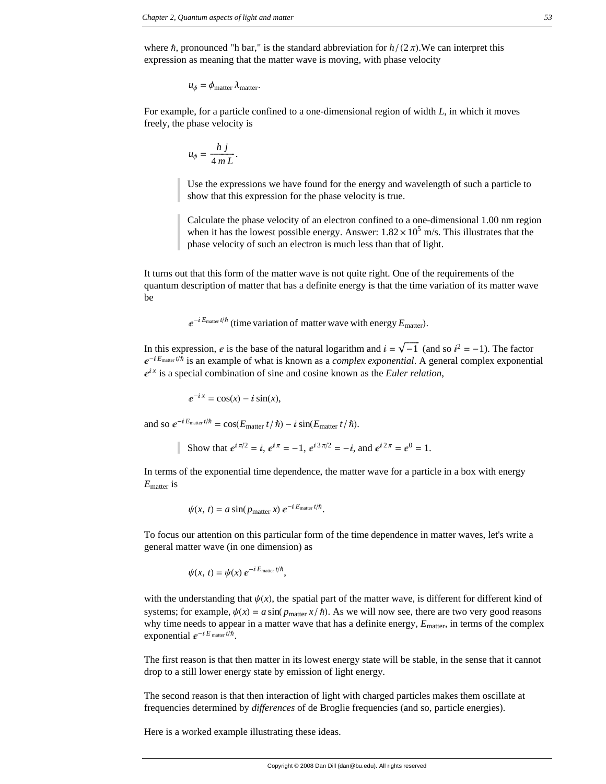where  $\hbar$ , pronounced "h bar," is the standard abbreviation for  $h/(2\pi)$ . We can interpret this expression as meaning that the matter wave is moving, with phase velocity

$$
u_{\phi} = \phi_{\text{matter}} \lambda_{\text{matter}}.
$$

For example, for a particle confined to a one-dimensional region of width *L*, in which it moves freely, the phase velocity is

$$
u_{\phi} = \frac{h \, j}{4 \, m \, L}.
$$

Use the expressions we have found for the energy and wavelength of such a particle to show that this expression for the phase velocity is true.

Calculate the phase velocity of an electron confined to a one-dimensional 1.00 nm region when it has the lowest possible energy. Answer:  $1.82 \times 10^5$  m/s. This illustrates that the phase velocity of such an electron is much less than that of light.

It turns out that this form of the matter wave is not quite right. One of the requirements of the quantum description of matter that has a definite energy is that the time variation of its matter wave be

 $e^{-iE_{\text{matter}}t/\hbar}$  (time variation of matter wave with energy  $E_{\text{matter}}$ ).

In this expression, e is the base of the natural logarithm and  $i = \sqrt{-1}$  (and so  $i^2 = -1$ ). The factor  $e^{-iE_{\text{matter}}t/\hbar}$  is an example of what is known as a *complex exponential*. A general complex exponential  $e^{ix}$  is a special combination of sine and cosine known as the *Euler relation*,

$$
e^{-ix} = \cos(x) - i\sin(x),
$$

and so  $e^{-iE_{\text{matter}}t/\hbar} = \cos(E_{\text{matter}}t/\hbar) - i\sin(E_{\text{matter}}t/\hbar).$ 

Show that 
$$
e^{i\pi/2} = i
$$
,  $e^{i\pi} = -1$ ,  $e^{i3\pi/2} = -i$ , and  $e^{i2\pi} = e^0 = 1$ .

In terms of the exponential time dependence, the matter wave for a particle in a box with energy *E*matter is

$$
\psi(x, t) = a \sin(p_{\text{matter}} x) e^{-i E_{\text{matter}} t/\hbar}.
$$

To focus our attention on this particular form of the time dependence in matter waves, let's write a general matter wave (in one dimension) as

$$
\psi(x, t) = \psi(x) e^{-iE_{\text{matter}}t/\hbar},
$$

with the understanding that  $\psi(x)$ , the spatial part of the matter wave, is different for different kind of systems; for example,  $\psi(x) = a \sin(p_{\text{matter}} x / \hbar)$ . As we will now see, there are two very good reasons why time needs to appear in a matter wave that has a definite energy,  $E_{\text{matter}}$ , in terms of the complex exponential  $e^{-iE_{\text{matter}}t/\hbar}$ .

The first reason is that then matter in its lowest energy state will be stable, in the sense that it cannot drop to a still lower energy state by emission of light energy.

The second reason is that then interaction of light with charged particles makes them oscillate at frequencies determined by *differences* of de Broglie frequencies (and so, particle energies).

Here is a worked example illustrating these ideas.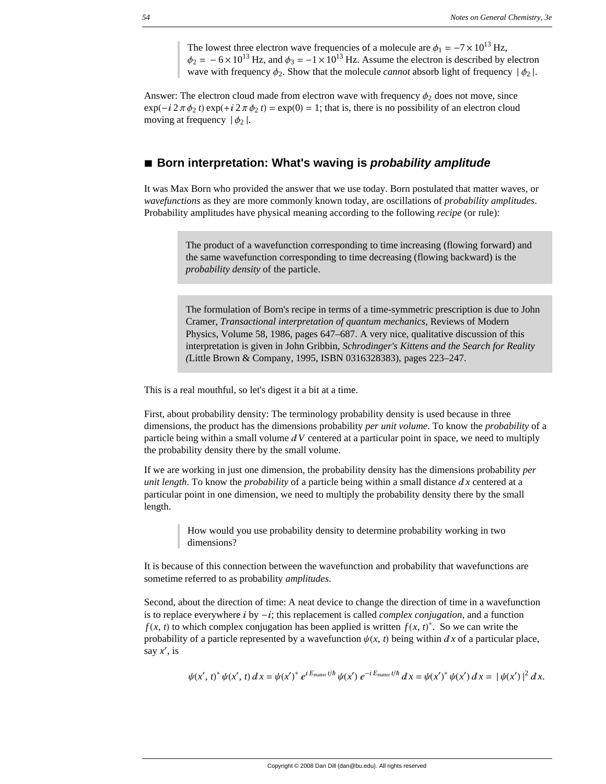The lowest three electron wave frequencies of a molecule are  $\phi_1 = -7 \times 10^{13}$  Hz,  $\phi_2 = -6 \times 10^{13}$  Hz, and  $\phi_3 = -1 \times 10^{13}$  Hz. Assume the electron is described by electron wave with frequency  $\phi_2$ . Show that the molecule *cannot* absorb light of frequency  $|\phi_2|$ .

Answer: The electron cloud made from electron wave with frequency  $\phi_2$  does not move, since  $\exp(-i 2 \pi \phi_2 t) \exp(+i 2 \pi \phi_2 t) = \exp(0) = 1$ ; that is, there is no possibility of an electron cloud moving at frequency  $|\phi_2|$ .

# ■ **Born interpretation: What's waving is** *probability amplitude*

It was Max Born who provided the answer that we use today. Born postulated that matter waves, or *wavefunctions* as they are more commonly known today, are oscillations of *probability amplitudes*. Probability amplitudes have physical meaning according to the following *recipe* (or rule):

> The product of a wavefunction corresponding to time increasing (flowing forward) and the same wavefunction corresponding to time decreasing (flowing backward) is the *probability density* of the particle.

The formulation of Born's recipe in terms of a time-symmetric prescription is due to John Cramer, *Transactional interpretation of quantum mechanics*, Reviews of Modern Physics, Volume 58, 1986, pages 647–687. A very nice, qualitative discussion of this interpretation is given in John Gribbin, *Schrodinger's Kittens and the Search for Reality (*Little Brown & Company, 1995, ISBN 0316328383), pages 223–247.

This is a real mouthful, so let's digest it a bit at a time.

First, about probability density: The terminology probability density is used because in three dimensions, the product has the dimensions probability *per unit volume*. To know the *probability* of a particle being within a small volume  $dV$  centered at a particular point in space, we need to multiply the probability density there by the small volume.

If we are working in just one dimension, the probability density has the dimensions probability *per unit length*. To know the *probability* of a particle being within a small distance  $dx$  centered at a particular point in one dimension, we need to multiply the probability density there by the small length.

> How would you use probability density to determine probability working in two dimensions?

It is because of this connection between the wavefunction and probability that wavefunctions are sometime referred to as probability *amplitudes*.

Second, about the direction of time: A neat device to change the direction of time in a wavefunction is to replace everywhere  $\mathbf{i}$  by  $-\mathbf{i}$ ; this replacement is called *complex conjugation*, and a function *f* (*x*, *t*) to which complex conjugation has been applied is written *f* (*x*, *t*)<sup>\*</sup>. So we can write the probability of a particle represented by a wavefunction  $\psi(x, t)$  being within  $dx$  of a particular place, say *x*<sup>'</sup>, is

$$
\psi(x',t)^* \psi(x',t) dx = \psi(x')^* e^{iE_{\text{matter}}t/\hbar} \psi(x') e^{-iE_{\text{matter}}t/\hbar} dx = \psi(x')^* \psi(x') dx = |\psi(x')|^2 dx.
$$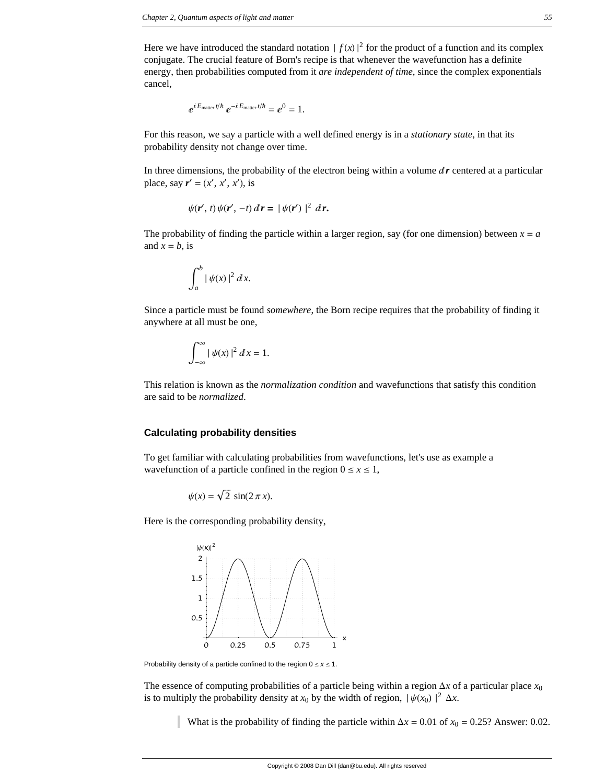Here we have introduced the standard notation  $|f(x)|^2$  for the product of a function and its complex conjugate. The crucial feature of Born's recipe is that whenever the wavefunction has a definite energy, then probabilities computed from it *are independent of time*, since the complex exponentials cancel,

$$
e^{iE_{\text{matter}}t/\hbar} e^{-iE_{\text{matter}}t/\hbar} = e^0 = 1.
$$

For this reason, we say a particle with a well defined energy is in a *stationary state*, in that its probability density not change over time.

In three dimensions, the probability of the electron being within a volume  $dr$  centered at a particular place, say  $\mathbf{r}' = (x', x', x')$ , is

$$
\psi(\mathbf{r}',t)\psi(\mathbf{r}',-t)\,d\mathbf{r} = |\psi(\mathbf{r}')|^2\,d\mathbf{r}.
$$

The probability of finding the particle within a larger region, say (for one dimension) between  $x = a$ and  $x = b$ , is

$$
\int_a^b |\psi(x)|^2 dx.
$$

Since a particle must be found *somewhere*, the Born recipe requires that the probability of finding it anywhere at all must be one,

$$
\int_{-\infty}^{\infty} |\psi(x)|^2 dx = 1.
$$

This relation is known as the *normalization condition* and wavefunctions that satisfy this condition are said to be *normalized*.

### **Calculating probability densities**

To get familiar with calculating probabilities from wavefunctions, let's use as example a wavefunction of a particle confined in the region  $0 \le x \le 1$ ,

$$
\psi(x) = \sqrt{2} \, \sin(2\,\pi\,x).
$$

Here is the corresponding probability density,



Probability density of a particle confined to the region  $0 \le x \le 1$ .

The essence of computing probabilities of a particle being within a region  $\Delta x$  of a particular place  $x_0$ is to multiply the probability density at  $x_0$  by the width of region,  $|\psi(x_0)|^2 \Delta x$ .

What is the probability of finding the particle within  $\Delta x = 0.01$  of  $x_0 = 0.25$ ? Answer: 0.02.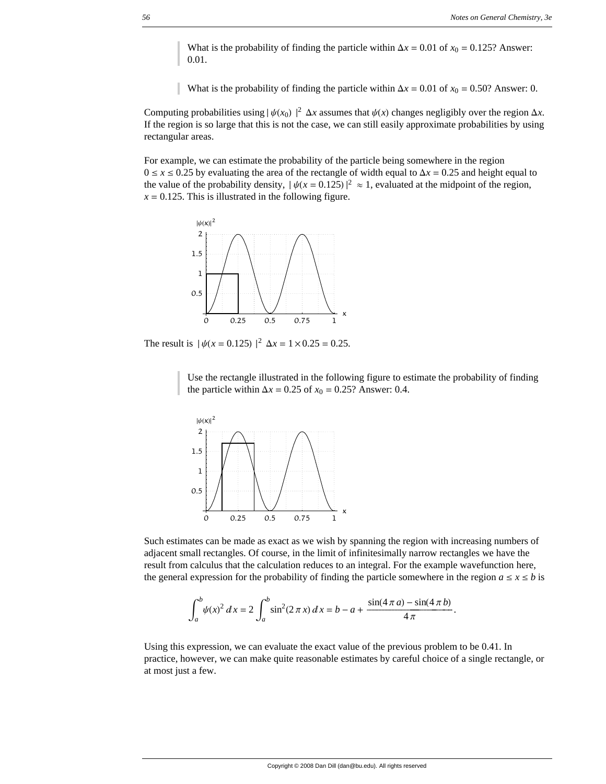What is the probability of finding the particle within  $\Delta x = 0.01$  of  $x_0 = 0.125$ ? Answer: 0.01.

What is the probability of finding the particle within  $\Delta x = 0.01$  of  $x_0 = 0.50$ ? Answer: 0.

Computing probabilities using  $|\psi(x_0)|^2 \Delta x$  assumes that  $\psi(x)$  changes negligibly over the region  $\Delta x$ . If the region is so large that this is not the case, we can still easily approximate probabilities by using rectangular areas.

For example, we can estimate the probability of the particle being somewhere in the region  $0 \le x \le 0.25$  by evaluating the area of the rectangle of width equal to  $\Delta x = 0.25$  and height equal to the value of the probability density,  $|\psi(x = 0.125)|^2 \approx 1$ , evaluated at the midpoint of the region,  $x = 0.125$ . This is illustrated in the following figure.



The result is  $|\psi(x = 0.125)|^2 \Delta x = 1 \times 0.25 = 0.25$ .

Use the rectangle illustrated in the following figure to estimate the probability of finding the particle within  $\Delta x = 0.25$  of  $x_0 = 0.25$ ? Answer: 0.4.



Such estimates can be made as exact as we wish by spanning the region with increasing numbers of adjacent small rectangles. Of course, in the limit of infinitesimally narrow rectangles we have the result from calculus that the calculation reduces to an integral. For the example wavefunction here, the general expression for the probability of finding the particle somewhere in the region  $a \le x \le b$  is

$$
\int_{a}^{b} \psi(x)^{2} dx = 2 \int_{a}^{b} \sin^{2}(2 \pi x) dx = b - a + \frac{\sin(4 \pi a) - \sin(4 \pi b)}{4 \pi}.
$$

Using this expression, we can evaluate the exact value of the previous problem to be 0.41. In practice, however, we can make quite reasonable estimates by careful choice of a single rectangle, or at most just a few.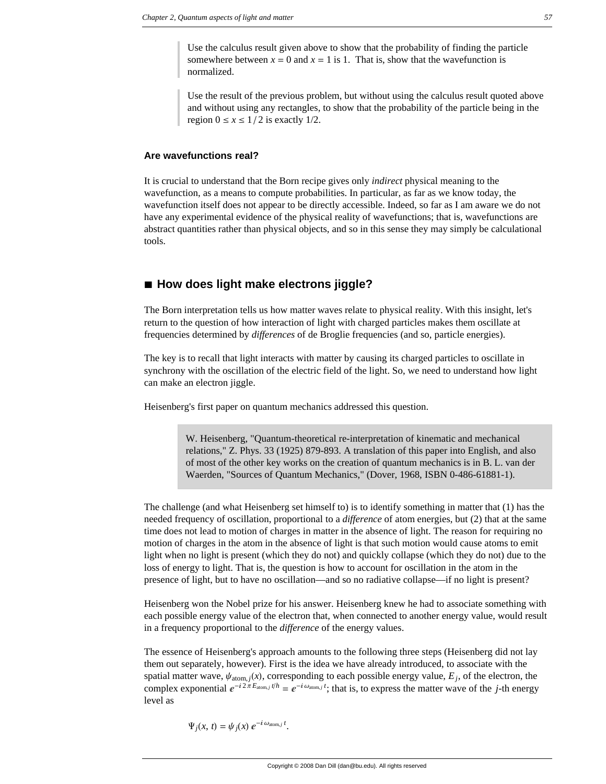Use the calculus result given above to show that the probability of finding the particle somewhere between  $x = 0$  and  $x = 1$  is 1. That is, show that the wavefunction is normalized.

Use the result of the previous problem, but without using the calculus result quoted above and without using any rectangles, to show that the probability of the particle being in the region  $0 \le x \le 1/2$  is exactly 1/2.

#### **Are wavefunctions real?**

It is crucial to understand that the Born recipe gives only *indirect* physical meaning to the wavefunction, as a means to compute probabilities. In particular, as far as we know today, the wavefunction itself does not appear to be directly accessible. Indeed, so far as I am aware we do not have any experimental evidence of the physical reality of wavefunctions; that is, wavefunctions are abstract quantities rather than physical objects, and so in this sense they may simply be calculational tools.

# **à How does light make electrons jiggle?**

The Born interpretation tells us how matter waves relate to physical reality. With this insight, let's return to the question of how interaction of light with charged particles makes them oscillate at frequencies determined by *differences* of de Broglie frequencies (and so, particle energies).

The key is to recall that light interacts with matter by causing its charged particles to oscillate in synchrony with the oscillation of the electric field of the light. So, we need to understand how light can make an electron jiggle.

Heisenberg's first paper on quantum mechanics addressed this question.

W. Heisenberg, "Quantum-theoretical re-interpretation of kinematic and mechanical relations," Z. Phys. 33 (1925) 879-893. A translation of this paper into English, and also of most of the other key works on the creation of quantum mechanics is in B. L. van der Waerden, "Sources of Quantum Mechanics," (Dover, 1968, ISBN 0-486-61881-1).

The challenge (and what Heisenberg set himself to) is to identify something in matter that (1) has the needed frequency of oscillation, proportional to a *difference* of atom energies, but (2) that at the same time does not lead to motion of charges in matter in the absence of light. The reason for requiring no motion of charges in the atom in the absence of light is that such motion would cause atoms to emit light when no light is present (which they do not) and quickly collapse (which they do not) due to the loss of energy to light. That is, the question is how to account for oscillation in the atom in the presence of light, but to have no oscillation—and so no radiative collapse—if no light is present?

Heisenberg won the Nobel prize for his answer. Heisenberg knew he had to associate something with each possible energy value of the electron that, when connected to another energy value, would result in a frequency proportional to the *difference* of the energy values.

The essence of Heisenberg's approach amounts to the following three steps (Heisenberg did not lay them out separately, however). First is the idea we have already introduced, to associate with the spatial matter wave,  $\psi_{\text{atom},j}(x)$ , corresponding to each possible energy value,  $E_j$ , of the electron, the complex exponential  $e^{-i2\pi E_{\text{atom},j} t/h} = e^{-i\omega_{\text{atom},j} t}$ ; that is, to express the matter wave of the *j*-th energy level as

$$
\Psi_j(x, t) = \psi_j(x) e^{-i \omega_{\text{atom},j} t}.
$$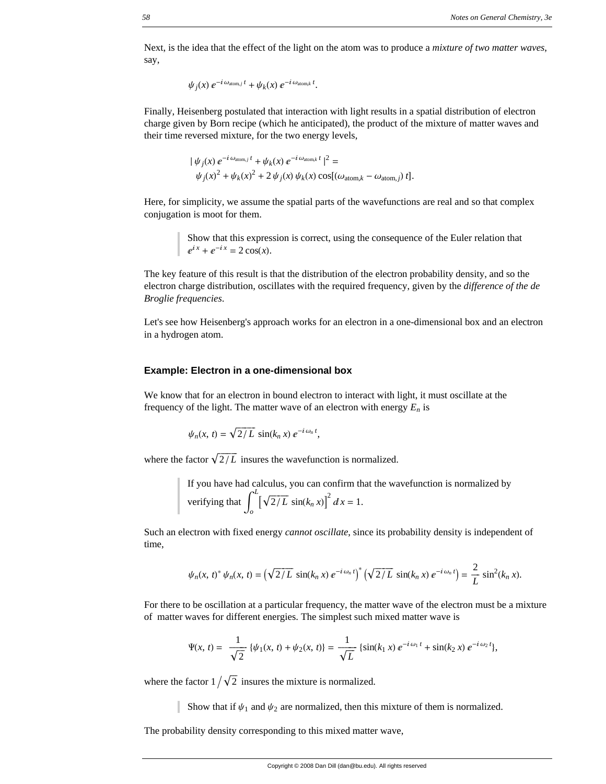Next, is the idea that the effect of the light on the atom was to produce a *mixture of two matter waves*, say,

 $\psi_j(x) e^{-i \omega_{\text{atom},j} t} + \psi_k(x) e^{-i \omega_{\text{atom},k} t}$ .

Finally, Heisenberg postulated that interaction with light results in a spatial distribution of electron charge given by Born recipe (which he anticipated), the product of the mixture of matter waves and their time reversed mixture, for the two energy levels,

$$
\begin{aligned} \n\mid \psi_j(x) \, e^{-i \omega_{\text{atom},j} \, t} + \psi_k(x) \, e^{-i \, \omega_{\text{atom},k} \, t} \mid^2 = \\
\psi_j(x)^2 + \psi_k(x)^2 + 2 \, \psi_j(x) \, \psi_k(x) \cos[(\omega_{\text{atom},k} - \omega_{\text{atom},j}) \, t].\n\end{aligned}
$$

Here, for simplicity, we assume the spatial parts of the wavefunctions are real and so that complex conjugation is moot for them.

> Show that this expression is correct, using the consequence of the Euler relation that  $e^{ix} + e^{-ix} = 2 \cos(x)$ .

The key feature of this result is that the distribution of the electron probability density, and so the electron charge distribution, oscillates with the required frequency, given by the *difference of the de Broglie frequencies*.

Let's see how Heisenberg's approach works for an electron in a one-dimensional box and an electron in a hydrogen atom.

#### **Example: Electron in a one-dimensional box**

We know that for an electron in bound electron to interact with light, it must oscillate at the frequency of the light. The matter wave of an electron with energy  $E_n$  is

$$
\psi_n(x,\,t)=\sqrt{2/L}\,\sin(k_n\,x)\,e^{-i\,\omega_n\,t},
$$

where the factor  $\sqrt{2/L}$  insures the wavefunction is normalized.

If you have had calculus, you can confirm that the wavefunction is normalized by verifying that 
$$
\int_{0}^{L} \left[\sqrt{2/L} \sin(k_n x)\right]^2 dx = 1.
$$

Such an electron with fixed energy *cannot oscillate*, since its probability density is independent of time,

$$
\psi_n(x, t)^* \psi_n(x, t) = \left(\sqrt{2/L} \sin(k_n x) e^{-i \omega_n t}\right)^* \left(\sqrt{2/L} \sin(k_n x) e^{-i \omega_n t}\right) = \frac{2}{L} \sin^2(k_n x).
$$

For there to be oscillation at a particular frequency, the matter wave of the electron must be a mixture of matter waves for different energies. The simplest such mixed matter wave is

$$
\Psi(x, t) = \frac{1}{\sqrt{2}} \left\{ \psi_1(x, t) + \psi_2(x, t) \right\} = \frac{1}{\sqrt{L}} \left\{ \sin(k_1 x) e^{-i \omega_1 t} + \sin(k_2 x) e^{-i \omega_2 t} \right\},
$$

where the factor  $1/\sqrt{2}$  insures the mixture is normalized.

Show that if  $\psi_1$  and  $\psi_2$  are normalized, then this mixture of them is normalized.

The probability density corresponding to this mixed matter wave,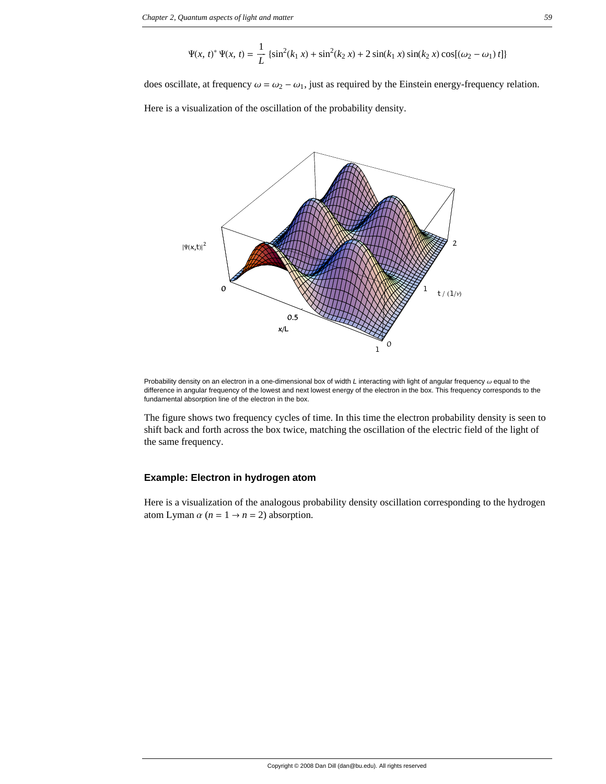$$
\Psi(x, t)^{*} \Psi(x, t) = \frac{1}{L} \left\{ \sin^{2}(k_{1} x) + \sin^{2}(k_{2} x) + 2 \sin(k_{1} x) \sin(k_{2} x) \cos[(\omega_{2} - \omega_{1}) t] \right\}
$$

does oscillate, at frequency  $\omega = \omega_2 - \omega_1$ , just as required by the Einstein energy-frequency relation.

Here is a visualization of the oscillation of the probability density.



Probability density on an electron in a one-dimensional box of width *L* interacting with light of angular frequency  $\omega$  equal to the difference in angular frequency of the lowest and next lowest energy of the electron in the box. This frequency corresponds to the fundamental absorption line of the electron in the box.

The figure shows two frequency cycles of time. In this time the electron probability density is seen to shift back and forth across the box twice, matching the oscillation of the electric field of the light of the same frequency.

### **Example: Electron in hydrogen atom**

Here is a visualization of the analogous probability density oscillation corresponding to the hydrogen atom Lyman  $\alpha$  ( $n = 1 \rightarrow n = 2$ ) absorption.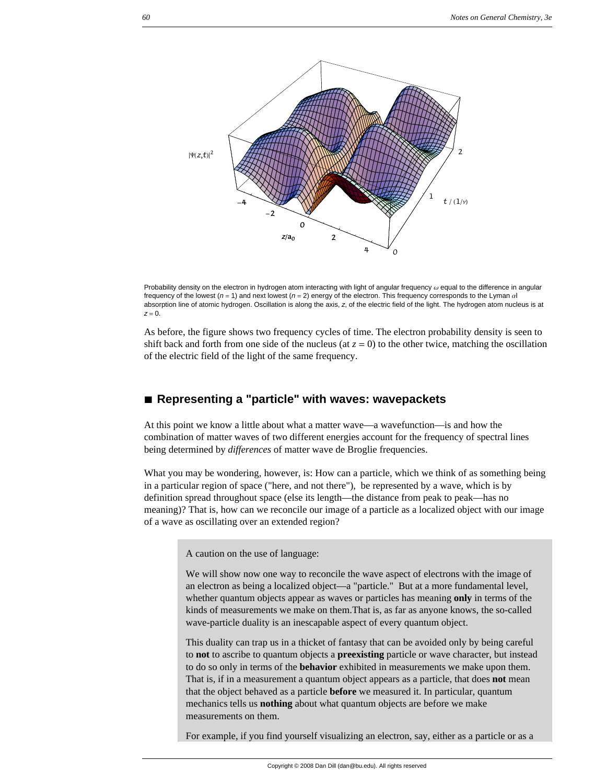

Probability density on the electron in hydrogen atom interacting with light of angular frequency  $\omega$  equal to the difference in angular frequency of the lowest ( $n = 1$ ) and next lowest ( $n = 2$ ) energy of the electron. This frequency corresponds to the Lyman  $\alpha$ absorption line of atomic hydrogen. Oscillation is along the axis, *z*, of the electric field of the light. The hydrogen atom nucleus is at  $z = 0$ .

As before, the figure shows two frequency cycles of time. The electron probability density is seen to shift back and forth from one side of the nucleus (at  $z = 0$ ) to the other twice, matching the oscillation of the electric field of the light of the same frequency.

# **à Representing a "particle" with waves: wavepackets**

At this point we know a little about what a matter wave—a wavefunction—is and how the combination of matter waves of two different energies account for the frequency of spectral lines being determined by *differences* of matter wave de Broglie frequencies.

What you may be wondering, however, is: How can a particle, which we think of as something being in a particular region of space ("here, and not there"), be represented by a wave, which is by definition spread throughout space (else its length—the distance from peak to peak—has no meaning)? That is, how can we reconcile our image of a particle as a localized object with our image of a wave as oscillating over an extended region?

A caution on the use of language:

We will show now one way to reconcile the wave aspect of electrons with the image of an electron as being a localized object—a "particle." But at a more fundamental level, whether quantum objects appear as waves or particles has meaning **only** in terms of the kinds of measurements we make on them.That is, as far as anyone knows, the so-called wave-particle duality is an inescapable aspect of every quantum object.

This duality can trap us in a thicket of fantasy that can be avoided only by being careful to **not** to ascribe to quantum objects a **preexisting** particle or wave character, but instead to do so only in terms of the **behavior** exhibited in measurements we make upon them. That is, if in a measurement a quantum object appears as a particle, that does **not** mean that the object behaved as a particle **before** we measured it. In particular, quantum mechanics tells us **nothing** about what quantum objects are before we make measurements on them.

For example, if you find yourself visualizing an electron, say, either as a particle or as a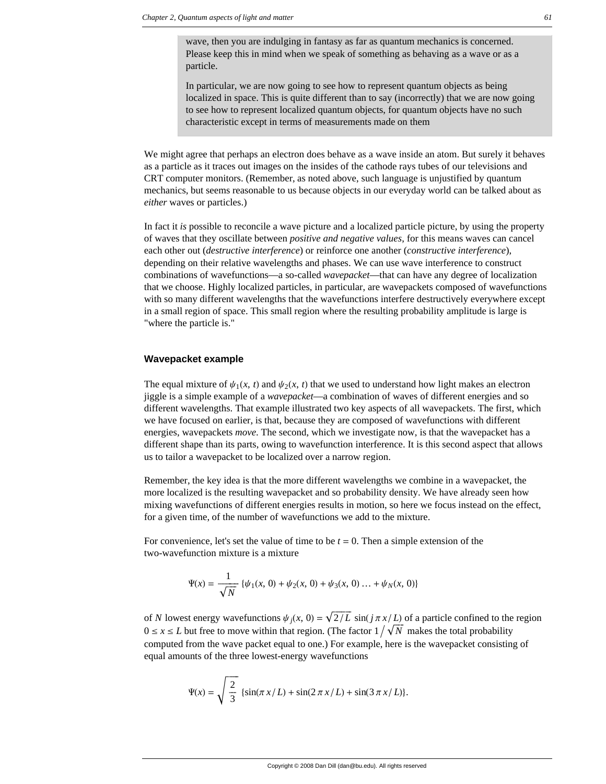wave, then you are indulging in fantasy as far as quantum mechanics is concerned. Please keep this in mind when we speak of something as behaving as a wave or as a particle.

In particular, we are now going to see how to represent quantum objects as being localized in space. This is quite different than to say (incorrectly) that we are now going to see how to represent localized quantum objects, for quantum objects have no such characteristic except in terms of measurements made on them

We might agree that perhaps an electron does behave as a wave inside an atom. But surely it behaves as a particle as it traces out images on the insides of the cathode rays tubes of our televisions and CRT computer monitors. (Remember, as noted above, such language is unjustified by quantum mechanics, but seems reasonable to us because objects in our everyday world can be talked about as *either* waves or particles.)

In fact it *is* possible to reconcile a wave picture and a localized particle picture, by using the property of waves that they oscillate between *positive and negative values*, for this means waves can cancel each other out (*destructive interference*) or reinforce one another (*constructive interference*), depending on their relative wavelengths and phases. We can use wave interference to construct combinations of wavefunctions—a so-called *wavepacket*—that can have any degree of localization that we choose. Highly localized particles, in particular, are wavepackets composed of wavefunctions with so many different wavelengths that the wavefunctions interfere destructively everywhere except in a small region of space. This small region where the resulting probability amplitude is large is "where the particle is."

#### **Wavepacket example**

The equal mixture of  $\psi_1(x, t)$  and  $\psi_2(x, t)$  that we used to understand how light makes an electron jiggle is a simple example of a *wavepacket*—a combination of waves of different energies and so different wavelengths. That example illustrated two key aspects of all wavepackets. The first, which we have focused on earlier, is that, because they are composed of wavefunctions with different energies, wavepackets *move*. The second, which we investigate now, is that the wavepacket has a different shape than its parts, owing to wavefunction interference. It is this second aspect that allows us to tailor a wavepacket to be localized over a narrow region.

Remember, the key idea is that the more different wavelengths we combine in a wavepacket, the more localized is the resulting wavepacket and so probability density. We have already seen how mixing wavefunctions of different energies results in motion, so here we focus instead on the effect, for a given time, of the number of wavefunctions we add to the mixture.

For convenience, let's set the value of time to be  $t = 0$ . Then a simple extension of the two-wavefunction mixture is a mixture

$$
\Psi(x) = \frac{1}{\sqrt{N}} \left\{ \psi_1(x, 0) + \psi_2(x, 0) + \psi_3(x, 0) \dots + \psi_N(x, 0) \right\}
$$

of *N* lowest energy wavefunctions  $\psi_i(x, 0) = \sqrt{2/L} \sin(i \pi x/L)$  of a particle confined to the region  $0 \le x \le L$  but free to move within that region. (The factor  $1/\sqrt{N}$  makes the total probability computed from the wave packet equal to one.) For example, here is the wavepacket consisting of equal amounts of the three lowest-energy wavefunctions

$$
\Psi(x) = \sqrt{\frac{2}{3}} \left\{ \sin(\pi x/L) + \sin(2\pi x/L) + \sin(3\pi x/L) \right\}.
$$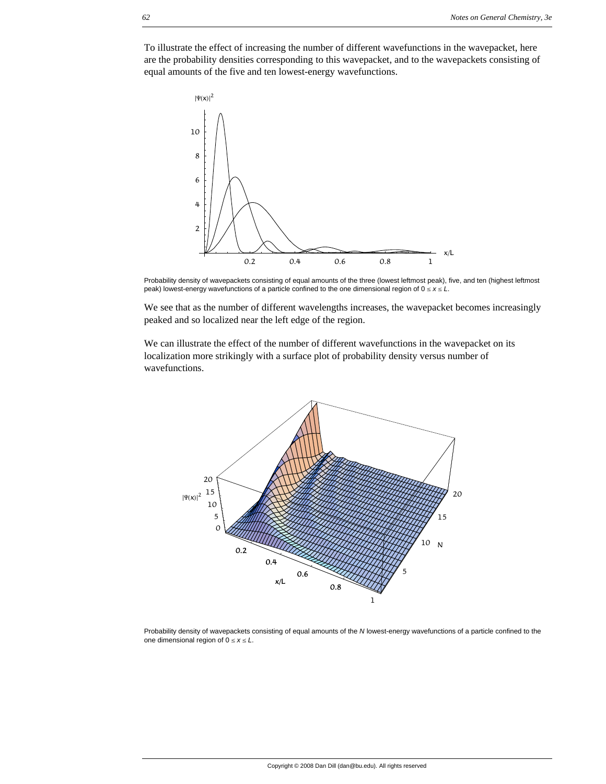To illustrate the effect of increasing the number of different wavefunctions in the wavepacket, here are the probability densities corresponding to this wavepacket, and to the wavepackets consisting of equal amounts of the five and ten lowest-energy wavefunctions.



Probability density of wavepackets consisting of equal amounts of the three (lowest leftmost peak), five, and ten (highest leftmost peak) lowest-energy wavefunctions of a particle confined to the one dimensional region of  $0 \le x \le L$ .

We see that as the number of different wavelengths increases, the wavepacket becomes increasingly peaked and so localized near the left edge of the region.

We can illustrate the effect of the number of different wavefunctions in the wavepacket on its localization more strikingly with a surface plot of probability density versus number of wavefunctions.



Probability density of wavepackets consisting of equal amounts of the *N* lowest-energy wavefunctions of a particle confined to the one dimensional region of  $0 \le x \le L$ .